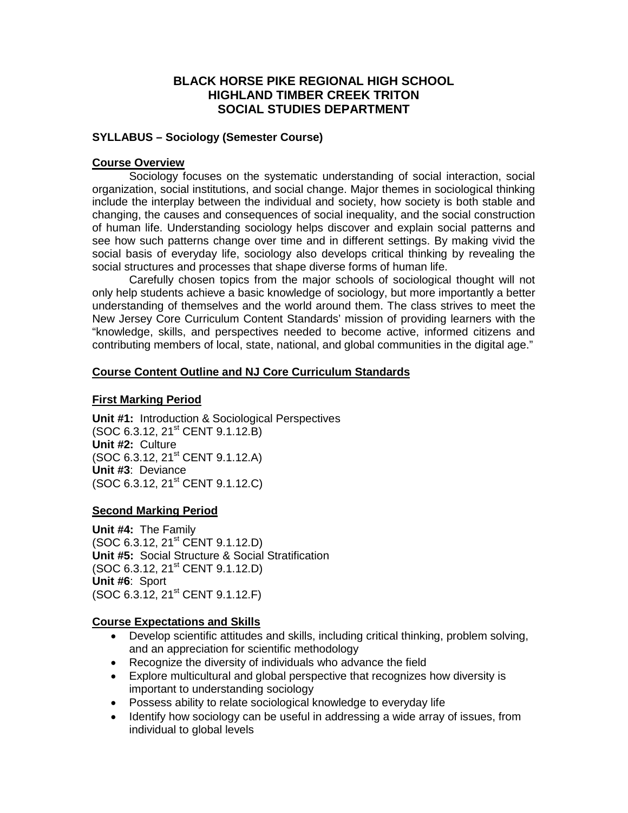## **BLACK HORSE PIKE REGIONAL HIGH SCHOOL HIGHLAND TIMBER CREEK TRITON SOCIAL STUDIES DEPARTMENT**

#### **SYLLABUS – Sociology (Semester Course)**

#### **Course Overview**

Sociology focuses on the systematic understanding of social interaction, social organization, social institutions, and social change. Major themes in sociological thinking include the interplay between the individual and society, how society is both stable and changing, the causes and consequences of social inequality, and the social construction of human life. Understanding sociology helps discover and explain social patterns and see how such patterns change over time and in different settings. By making vivid the social basis of everyday life, sociology also develops critical thinking by revealing the social structures and processes that shape diverse forms of human life.

Carefully chosen topics from the major schools of sociological thought will not only help students achieve a basic knowledge of sociology, but more importantly a better understanding of themselves and the world around them. The class strives to meet the New Jersey Core Curriculum Content Standards' mission of providing learners with the "knowledge, skills, and perspectives needed to become active, informed citizens and contributing members of local, state, national, and global communities in the digital age."

### **Course Content Outline and NJ Core Curriculum Standards**

#### **First Marking Period**

**Unit #1:** Introduction & Sociological Perspectives (SOC 6.3.12, 21<sup>st</sup> CENT 9.1.12.B) **Unit #2:** Culture (SOC 6.3.12, 21st CENT 9.1.12.A) **Unit #3**: Deviance  $(SOC 6.3.12, 21<sup>st</sup> CENT 9.1.12.C)$ 

### **Second Marking Period**

**Unit #4:** The Family  $(SOC 6.3.12, 21<sup>st</sup> CFNT 9.1.12.D)$ **Unit #5:** Social Structure & Social Stratification (SOC 6.3.12, 21<sup>st</sup> CENT 9.1.12.D) **Unit #6**: Sport (SOC 6.3.12, 21<sup>st</sup> CENT 9.1.12.F)

#### **Course Expectations and Skills**

- Develop scientific attitudes and skills, including critical thinking, problem solving, and an appreciation for scientific methodology
- Recognize the diversity of individuals who advance the field
- Explore multicultural and global perspective that recognizes how diversity is important to understanding sociology
- Possess ability to relate sociological knowledge to everyday life
- Identify how sociology can be useful in addressing a wide array of issues, from individual to global levels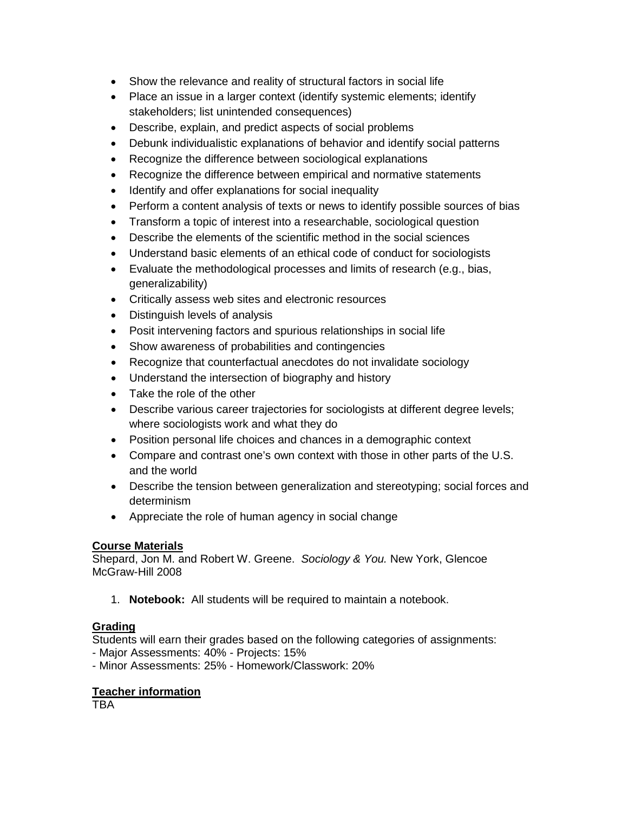- Show the relevance and reality of structural factors in social life
- Place an issue in a larger context (identify systemic elements; identify stakeholders; list unintended consequences)
- Describe, explain, and predict aspects of social problems
- Debunk individualistic explanations of behavior and identify social patterns
- Recognize the difference between sociological explanations
- Recognize the difference between empirical and normative statements
- Identify and offer explanations for social inequality
- Perform a content analysis of texts or news to identify possible sources of bias
- Transform a topic of interest into a researchable, sociological question
- Describe the elements of the scientific method in the social sciences
- Understand basic elements of an ethical code of conduct for sociologists
- Evaluate the methodological processes and limits of research (e.g., bias, generalizability)
- Critically assess web sites and electronic resources
- Distinguish levels of analysis
- Posit intervening factors and spurious relationships in social life
- Show awareness of probabilities and contingencies
- Recognize that counterfactual anecdotes do not invalidate sociology
- Understand the intersection of biography and history
- Take the role of the other
- Describe various career trajectories for sociologists at different degree levels; where sociologists work and what they do
- Position personal life choices and chances in a demographic context
- Compare and contrast one's own context with those in other parts of the U.S. and the world
- Describe the tension between generalization and stereotyping; social forces and determinism
- Appreciate the role of human agency in social change

### **Course Materials**

Shepard, Jon M. and Robert W. Greene. *Sociology & You.* New York, Glencoe McGraw-Hill 2008

1. **Notebook:** All students will be required to maintain a notebook.

## **Grading**

Students will earn their grades based on the following categories of assignments:

- Major Assessments: 40% - Projects: 15%

- Minor Assessments: 25% - Homework/Classwork: 20%

### **Teacher information**

**TBA**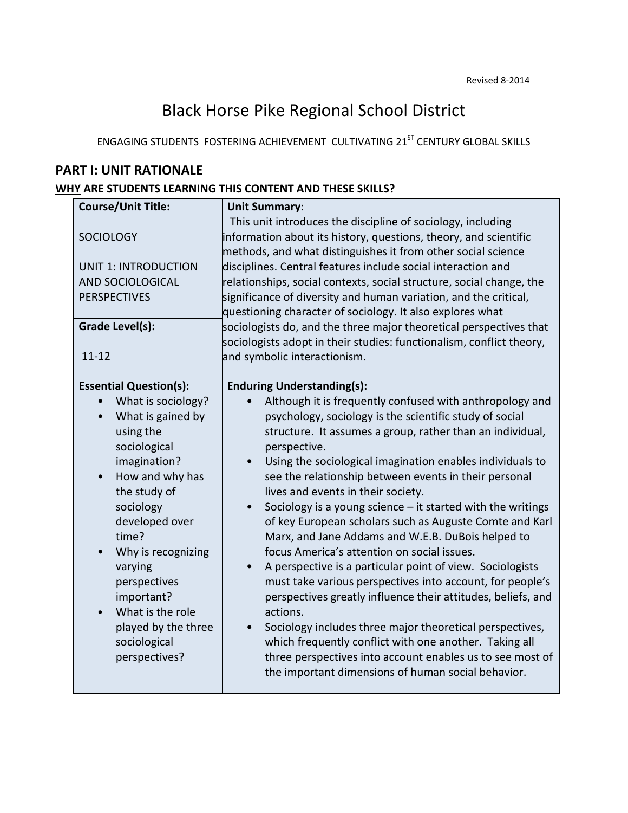# Black Horse Pike Regional School District

ENGAGING STUDENTS FOSTERING ACHIEVEMENT CULTIVATING 21<sup>ST</sup> CENTURY GLOBAL SKILLS

# **PART I: UNIT RATIONALE**

## **WHY ARE STUDENTS LEARNING THIS CONTENT AND THESE SKILLS?**

| <b>Course/Unit Title:</b><br><b>SOCIOLOGY</b><br><b>UNIT 1: INTRODUCTION</b><br>AND SOCIOLOGICAL<br><b>PERSPECTIVES</b>                                                                                                                                                                                                                     | <b>Unit Summary:</b><br>This unit introduces the discipline of sociology, including<br>information about its history, questions, theory, and scientific<br>methods, and what distinguishes it from other social science<br>disciplines. Central features include social interaction and<br>relationships, social contexts, social structure, social change, the<br>significance of diversity and human variation, and the critical,<br>questioning character of sociology. It also explores what                                                                                                                                                                                                                                                                                                                                                                                                                                                                                                                                                                                              |
|---------------------------------------------------------------------------------------------------------------------------------------------------------------------------------------------------------------------------------------------------------------------------------------------------------------------------------------------|-----------------------------------------------------------------------------------------------------------------------------------------------------------------------------------------------------------------------------------------------------------------------------------------------------------------------------------------------------------------------------------------------------------------------------------------------------------------------------------------------------------------------------------------------------------------------------------------------------------------------------------------------------------------------------------------------------------------------------------------------------------------------------------------------------------------------------------------------------------------------------------------------------------------------------------------------------------------------------------------------------------------------------------------------------------------------------------------------|
| <b>Grade Level(s):</b><br>$11 - 12$                                                                                                                                                                                                                                                                                                         | sociologists do, and the three major theoretical perspectives that<br>sociologists adopt in their studies: functionalism, conflict theory,<br>and symbolic interactionism.                                                                                                                                                                                                                                                                                                                                                                                                                                                                                                                                                                                                                                                                                                                                                                                                                                                                                                                    |
| <b>Essential Question(s):</b><br>What is sociology?<br>What is gained by<br>using the<br>sociological<br>imagination?<br>How and why has<br>the study of<br>sociology<br>developed over<br>time?<br>Why is recognizing<br>varying<br>perspectives<br>important?<br>What is the role<br>played by the three<br>sociological<br>perspectives? | <b>Enduring Understanding(s):</b><br>Although it is frequently confused with anthropology and<br>psychology, sociology is the scientific study of social<br>structure. It assumes a group, rather than an individual,<br>perspective.<br>Using the sociological imagination enables individuals to<br>see the relationship between events in their personal<br>lives and events in their society.<br>Sociology is a young science $-$ it started with the writings<br>$\bullet$<br>of key European scholars such as Auguste Comte and Karl<br>Marx, and Jane Addams and W.E.B. DuBois helped to<br>focus America's attention on social issues.<br>A perspective is a particular point of view. Sociologists<br>must take various perspectives into account, for people's<br>perspectives greatly influence their attitudes, beliefs, and<br>actions.<br>Sociology includes three major theoretical perspectives,<br>which frequently conflict with one another. Taking all<br>three perspectives into account enables us to see most of<br>the important dimensions of human social behavior. |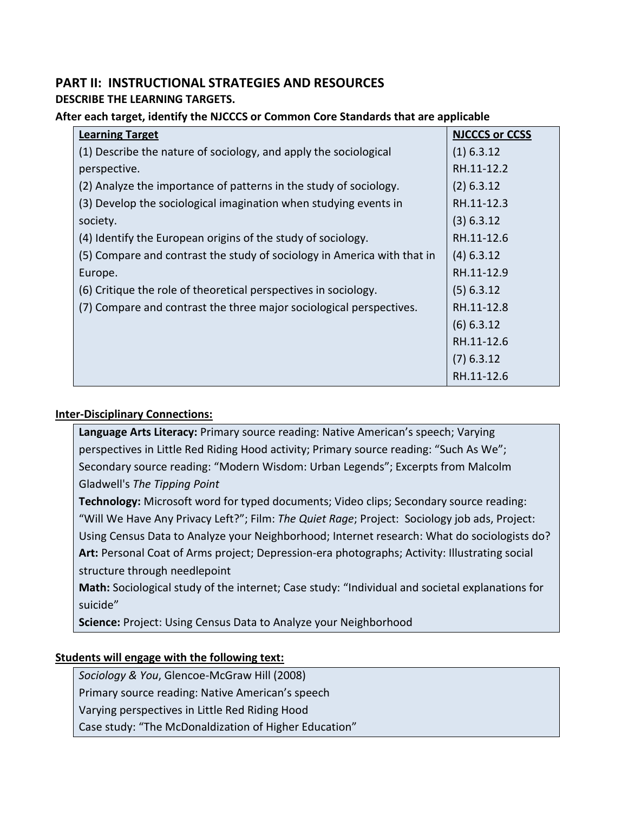# **PART II: INSTRUCTIONAL STRATEGIES AND RESOURCES**

**DESCRIBE THE LEARNING TARGETS.** 

## **After each target, identify the NJCCCS or Common Core Standards that are applicable**

| <b>Learning Target</b>                                                  | <b>NJCCCS or CCSS</b> |
|-------------------------------------------------------------------------|-----------------------|
| (1) Describe the nature of sociology, and apply the sociological        | $(1)$ 6.3.12          |
| perspective.                                                            | RH.11-12.2            |
| (2) Analyze the importance of patterns in the study of sociology.       | $(2)$ 6.3.12          |
| (3) Develop the sociological imagination when studying events in        | RH.11-12.3            |
| society.                                                                | (3) 6.3.12            |
| (4) Identify the European origins of the study of sociology.            | RH.11-12.6            |
| (5) Compare and contrast the study of sociology in America with that in | $(4)$ 6.3.12          |
| Europe.                                                                 | RH.11-12.9            |
| (6) Critique the role of theoretical perspectives in sociology.         | $(5)$ 6.3.12          |
| (7) Compare and contrast the three major sociological perspectives.     | RH.11-12.8            |
|                                                                         | $(6)$ 6.3.12          |
|                                                                         | RH.11-12.6            |
|                                                                         | $(7)$ 6.3.12          |
|                                                                         | RH.11-12.6            |

# **Inter-Disciplinary Connections:**

**Language Arts Literacy:** Primary source reading: Native American's speech; Varying perspectives in Little Red Riding Hood activity; Primary source reading: "Such As We"; Secondary source reading: "Modern Wisdom: Urban Legends"; Excerpts from Malcolm Gladwell's *The Tipping Point*

**Technology:** Microsoft word for typed documents; Video clips; Secondary source reading: "Will We Have Any Privacy Left?"; Film: *The Quiet Rage*; Project: Sociology job ads, Project: Using Census Data to Analyze your Neighborhood; Internet research: What do sociologists do? **Art:** Personal Coat of Arms project; Depression-era photographs; Activity: Illustrating social structure through needlepoint

**Math:** Sociological study of the internet; Case study: "Individual and societal explanations for suicide"

**Science:** Project: Using Census Data to Analyze your Neighborhood

# **Students will engage with the following text:**

*Sociology & You*, Glencoe-McGraw Hill (2008)

Primary source reading: Native American's speech

Varying perspectives in Little Red Riding Hood

Case study: "The McDonaldization of Higher Education"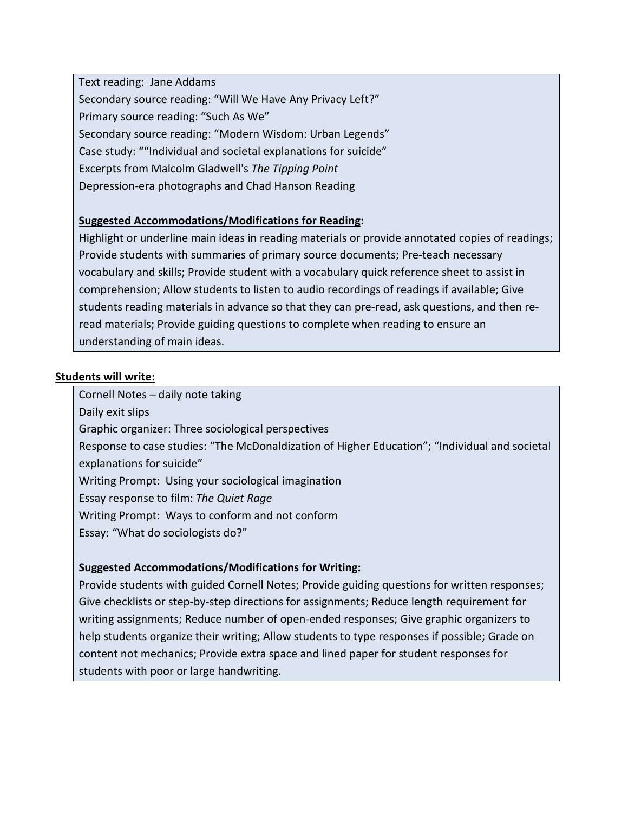Text reading: Jane Addams Secondary source reading: "Will We Have Any Privacy Left?" Primary source reading: "Such As We" Secondary source reading: "Modern Wisdom: Urban Legends" Case study: ""Individual and societal explanations for suicide" Excerpts from Malcolm Gladwell's *The Tipping Point* Depression-era photographs and Chad Hanson Reading

## **Suggested Accommodations/Modifications for Reading:**

Highlight or underline main ideas in reading materials or provide annotated copies of readings; Provide students with summaries of primary source documents; Pre-teach necessary vocabulary and skills; Provide student with a vocabulary quick reference sheet to assist in comprehension; Allow students to listen to audio recordings of readings if available; Give students reading materials in advance so that they can pre-read, ask questions, and then reread materials; Provide guiding questions to complete when reading to ensure an understanding of main ideas.

### **Students will write:**

Cornell Notes – daily note taking

Daily exit slips

Graphic organizer: Three sociological perspectives

Response to case studies: "The McDonaldization of Higher Education"; "Individual and societal explanations for suicide"

Writing Prompt: Using your sociological imagination

Essay response to film: *The Quiet Rage*

Writing Prompt: Ways to conform and not conform

Essay: "What do sociologists do?"

### **Suggested Accommodations/Modifications for Writing:**

Provide students with guided Cornell Notes; Provide guiding questions for written responses; Give checklists or step-by-step directions for assignments; Reduce length requirement for writing assignments; Reduce number of open-ended responses; Give graphic organizers to help students organize their writing; Allow students to type responses if possible; Grade on content not mechanics; Provide extra space and lined paper for student responses for students with poor or large handwriting.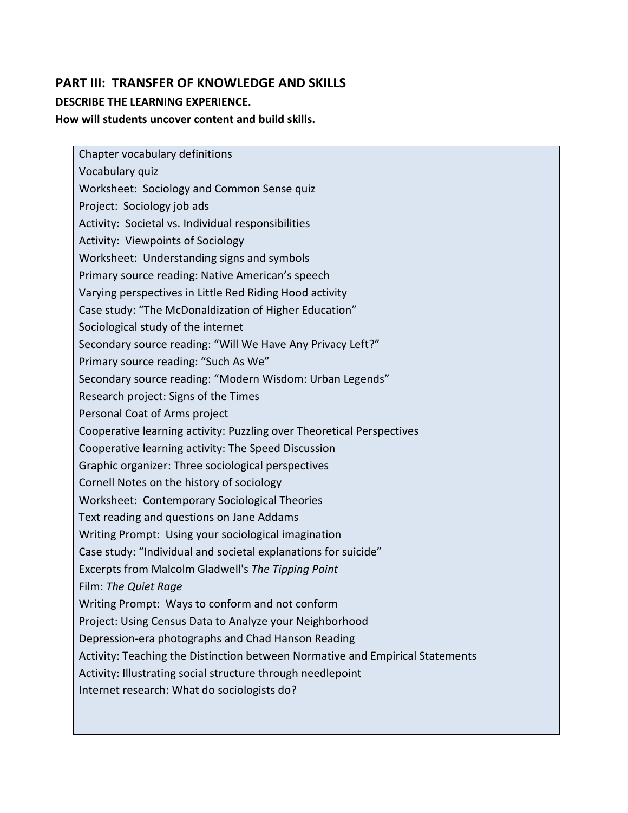# **PART III: TRANSFER OF KNOWLEDGE AND SKILLS DESCRIBE THE LEARNING EXPERIENCE. How will students uncover content and build skills.**

Chapter vocabulary definitions Vocabulary quiz Worksheet: Sociology and Common Sense quiz Project: Sociology job ads Activity: Societal vs. Individual responsibilities Activity: Viewpoints of Sociology Worksheet: Understanding signs and symbols Primary source reading: Native American's speech Varying perspectives in Little Red Riding Hood activity Case study: "The McDonaldization of Higher Education" Sociological study of the internet Secondary source reading: "Will We Have Any Privacy Left?" Primary source reading: "Such As We" Secondary source reading: "Modern Wisdom: Urban Legends" Research project: Signs of the Times Personal Coat of Arms project Cooperative learning activity: Puzzling over Theoretical Perspectives Cooperative learning activity: The Speed Discussion Graphic organizer: Three sociological perspectives Cornell Notes on the history of sociology Worksheet: Contemporary Sociological Theories Text reading and questions on Jane Addams Writing Prompt: Using your sociological imagination Case study: "Individual and societal explanations for suicide" Excerpts from Malcolm Gladwell's *The Tipping Point* Film: *The Quiet Rage* Writing Prompt: Ways to conform and not conform Project: Using Census Data to Analyze your Neighborhood Depression-era photographs and Chad Hanson Reading Activity: Teaching the Distinction between Normative and Empirical Statements Activity: Illustrating social structure through needlepoint Internet research: What do sociologists do?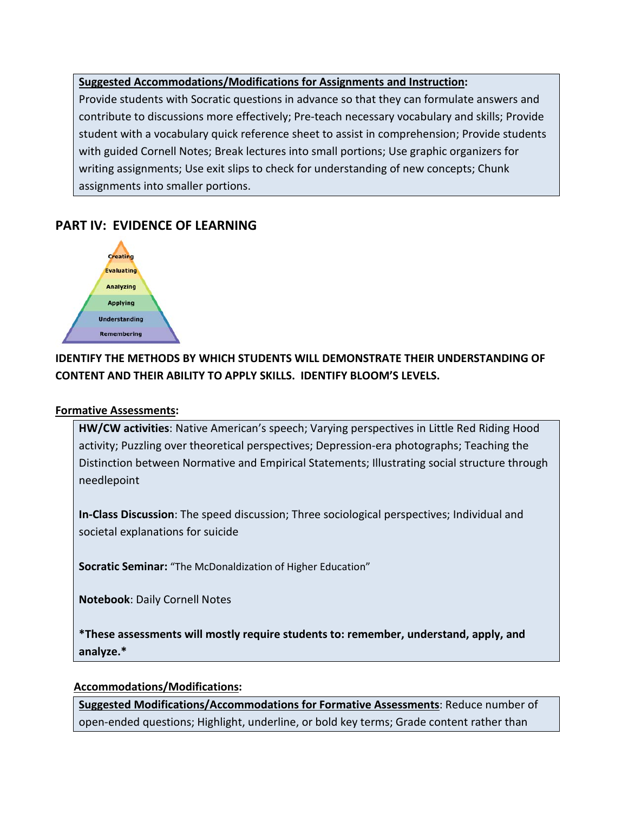## **Suggested Accommodations/Modifications for Assignments and Instruction:**

Provide students with Socratic questions in advance so that they can formulate answers and contribute to discussions more effectively; Pre-teach necessary vocabulary and skills; Provide student with a vocabulary quick reference sheet to assist in comprehension; Provide students with guided Cornell Notes; Break lectures into small portions; Use graphic organizers for writing assignments; Use exit slips to check for understanding of new concepts; Chunk assignments into smaller portions.

# **PART IV: EVIDENCE OF LEARNING**



# **IDENTIFY THE METHODS BY WHICH STUDENTS WILL DEMONSTRATE THEIR UNDERSTANDING OF CONTENT AND THEIR ABILITY TO APPLY SKILLS. IDENTIFY BLOOM'S LEVELS.**

## **Formative Assessments:**

**HW/CW activities**: Native American's speech; Varying perspectives in Little Red Riding Hood activity; Puzzling over theoretical perspectives; Depression-era photographs; Teaching the Distinction between Normative and Empirical Statements; Illustrating social structure through needlepoint

**In-Class Discussion**: The speed discussion; Three sociological perspectives; Individual and societal explanations for suicide

**Socratic Seminar:** "The McDonaldization of Higher Education"

**Notebook**: Daily Cornell Notes

**\*These assessments will mostly require students to: remember, understand, apply, and analyze.\***

### **Accommodations/Modifications:**

**Suggested Modifications/Accommodations for Formative Assessments**: Reduce number of open-ended questions; Highlight, underline, or bold key terms; Grade content rather than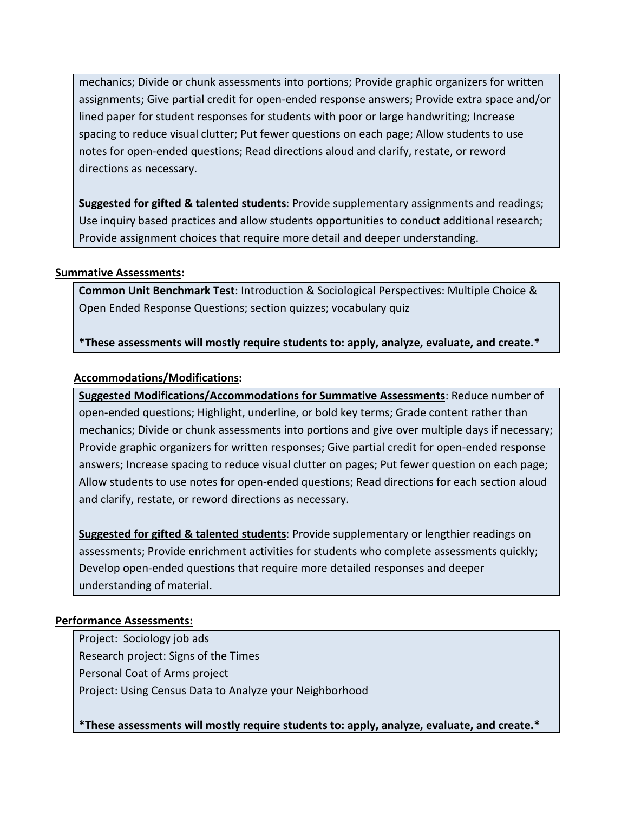mechanics; Divide or chunk assessments into portions; Provide graphic organizers for written assignments; Give partial credit for open-ended response answers; Provide extra space and/or lined paper for student responses for students with poor or large handwriting; Increase spacing to reduce visual clutter; Put fewer questions on each page; Allow students to use notes for open-ended questions; Read directions aloud and clarify, restate, or reword directions as necessary.

**Suggested for gifted & talented students**: Provide supplementary assignments and readings; Use inquiry based practices and allow students opportunities to conduct additional research; Provide assignment choices that require more detail and deeper understanding.

## **Summative Assessments:**

**Common Unit Benchmark Test**: Introduction & Sociological Perspectives: Multiple Choice & Open Ended Response Questions; section quizzes; vocabulary quiz

**\*These assessments will mostly require students to: apply, analyze, evaluate, and create.\***

## **Accommodations/Modifications:**

**Suggested Modifications/Accommodations for Summative Assessments**: Reduce number of open-ended questions; Highlight, underline, or bold key terms; Grade content rather than mechanics; Divide or chunk assessments into portions and give over multiple days if necessary; Provide graphic organizers for written responses; Give partial credit for open-ended response answers; Increase spacing to reduce visual clutter on pages; Put fewer question on each page; Allow students to use notes for open-ended questions; Read directions for each section aloud and clarify, restate, or reword directions as necessary.

**Suggested for gifted & talented students**: Provide supplementary or lengthier readings on assessments; Provide enrichment activities for students who complete assessments quickly; Develop open-ended questions that require more detailed responses and deeper understanding of material.

### **Performance Assessments:**

Project: Sociology job ads Research project: Signs of the Times Personal Coat of Arms project Project: Using Census Data to Analyze your Neighborhood

**\*These assessments will mostly require students to: apply, analyze, evaluate, and create.\***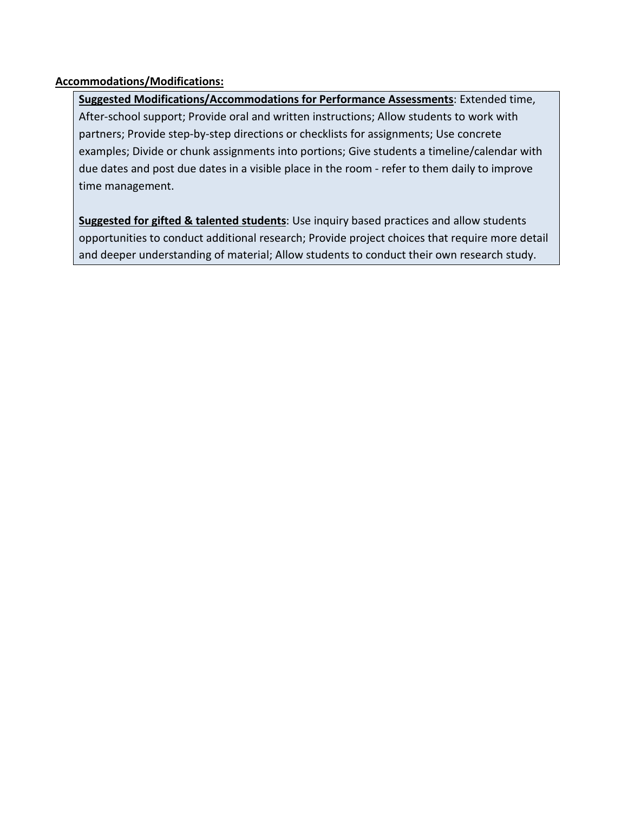## **Accommodations/Modifications:**

**Suggested Modifications/Accommodations for Performance Assessments**: Extended time, After-school support; Provide oral and written instructions; Allow students to work with partners; Provide step-by-step directions or checklists for assignments; Use concrete examples; Divide or chunk assignments into portions; Give students a timeline/calendar with due dates and post due dates in a visible place in the room - refer to them daily to improve time management.

**Suggested for gifted & talented students**: Use inquiry based practices and allow students opportunities to conduct additional research; Provide project choices that require more detail and deeper understanding of material; Allow students to conduct their own research study.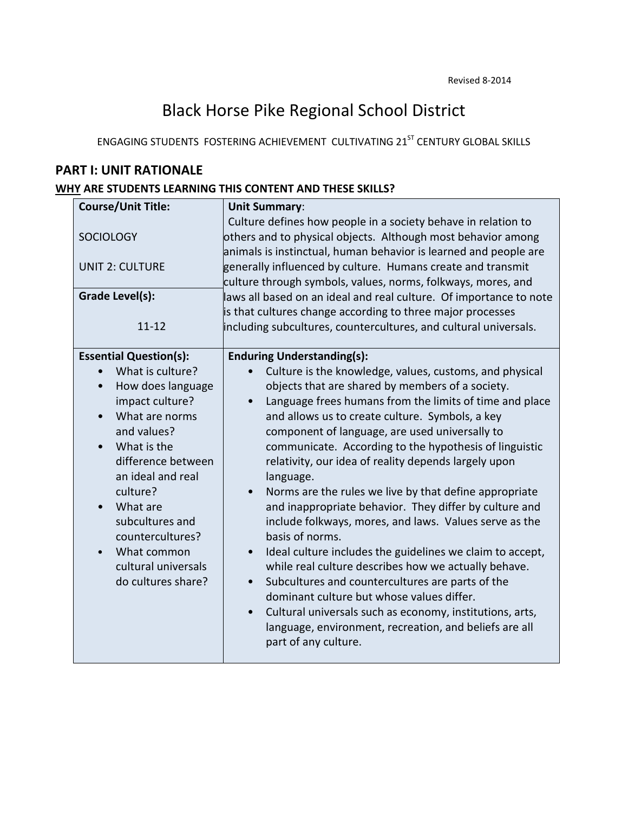# Black Horse Pike Regional School District

ENGAGING STUDENTS FOSTERING ACHIEVEMENT CULTIVATING 21<sup>ST</sup> CENTURY GLOBAL SKILLS

# **PART I: UNIT RATIONALE**

# **WHY ARE STUDENTS LEARNING THIS CONTENT AND THESE SKILLS?**

| <b>Course/Unit Title:</b>                      | <b>Unit Summary:</b>                                                                                                                                                                              |
|------------------------------------------------|---------------------------------------------------------------------------------------------------------------------------------------------------------------------------------------------------|
| <b>SOCIOLOGY</b>                               | Culture defines how people in a society behave in relation to<br>others and to physical objects. Although most behavior among<br>animals is instinctual, human behavior is learned and people are |
| <b>UNIT 2: CULTURE</b>                         | generally influenced by culture. Humans create and transmit<br>culture through symbols, values, norms, folkways, mores, and                                                                       |
| Grade Level(s):                                | laws all based on an ideal and real culture. Of importance to note                                                                                                                                |
| $11 - 12$                                      | is that cultures change according to three major processes<br>including subcultures, countercultures, and cultural universals.                                                                    |
| <b>Essential Question(s):</b>                  | <b>Enduring Understanding(s):</b>                                                                                                                                                                 |
| What is culture?                               | Culture is the knowledge, values, customs, and physical                                                                                                                                           |
| How does language<br>$\bullet$                 | objects that are shared by members of a society.                                                                                                                                                  |
| impact culture?                                | Language frees humans from the limits of time and place                                                                                                                                           |
| What are norms<br>$\bullet$                    | and allows us to create culture. Symbols, a key                                                                                                                                                   |
| and values?                                    | component of language, are used universally to                                                                                                                                                    |
| What is the<br>$\bullet$<br>difference between | communicate. According to the hypothesis of linguistic                                                                                                                                            |
| an ideal and real                              | relativity, our idea of reality depends largely upon<br>language.                                                                                                                                 |
| culture?                                       | Norms are the rules we live by that define appropriate                                                                                                                                            |
| What are<br>$\bullet$                          | and inappropriate behavior. They differ by culture and                                                                                                                                            |
| subcultures and                                | include folkways, mores, and laws. Values serve as the                                                                                                                                            |
| countercultures?                               | basis of norms.                                                                                                                                                                                   |
| What common<br>$\bullet$                       | Ideal culture includes the guidelines we claim to accept,                                                                                                                                         |
| cultural universals                            | while real culture describes how we actually behave.                                                                                                                                              |
| do cultures share?                             | Subcultures and countercultures are parts of the<br>$\bullet$                                                                                                                                     |
|                                                | dominant culture but whose values differ.                                                                                                                                                         |
|                                                | Cultural universals such as economy, institutions, arts,<br>language, environment, recreation, and beliefs are all<br>part of any culture.                                                        |
|                                                |                                                                                                                                                                                                   |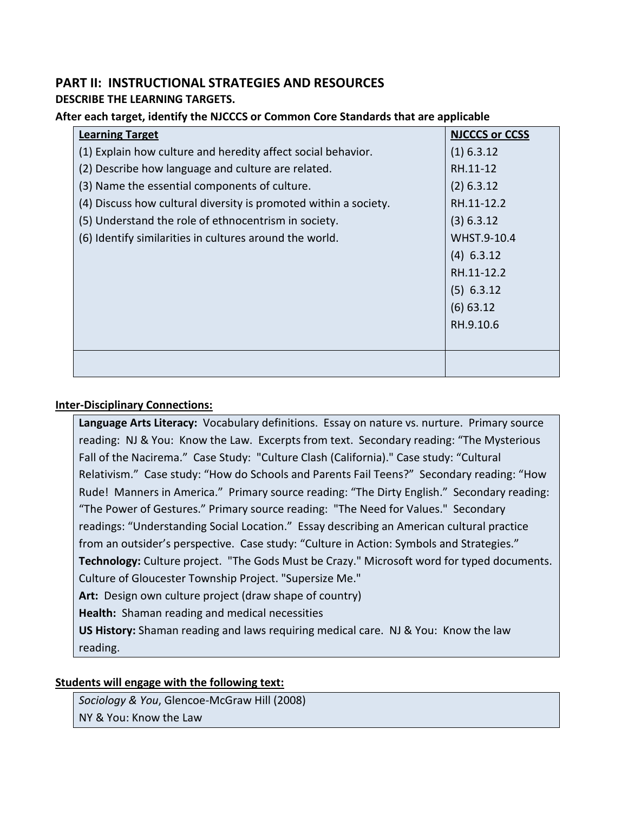## **PART II: INSTRUCTIONAL STRATEGIES AND RESOURCES DESCRIBE THE LEARNING TARGETS.**

### **After each target, identify the NJCCCS or Common Core Standards that are applicable**

| <b>Learning Target</b>                                           | <b>NJCCCS or CCSS</b> |
|------------------------------------------------------------------|-----------------------|
| (1) Explain how culture and heredity affect social behavior.     | $(1)$ 6.3.12          |
| (2) Describe how language and culture are related.               | RH.11-12              |
| (3) Name the essential components of culture.                    | $(2)$ 6.3.12          |
| (4) Discuss how cultural diversity is promoted within a society. | RH.11-12.2            |
| (5) Understand the role of ethnocentrism in society.             | (3) 6.3.12            |
| (6) Identify similarities in cultures around the world.          | WHST.9-10.4           |
|                                                                  | $(4)$ 6.3.12          |
|                                                                  | RH.11-12.2            |
|                                                                  | $(5)$ 6.3.12          |
|                                                                  | $(6)$ 63.12           |
|                                                                  | RH.9.10.6             |
|                                                                  |                       |
|                                                                  |                       |
|                                                                  |                       |

#### **Inter-Disciplinary Connections:**

**Language Arts Literacy:** Vocabulary definitions. Essay on nature vs. nurture. Primary source reading: NJ & You: Know the Law. Excerpts from text. Secondary reading: "The Mysterious Fall of the Nacirema." Case Study: "Culture Clash (California)." Case study: "Cultural Relativism." Case study: "How do Schools and Parents Fail Teens?" Secondary reading: "How Rude! Manners in America." Primary source reading: "The Dirty English." Secondary reading: "The Power of Gestures." Primary source reading: "The Need for Values." Secondary readings: "Understanding Social Location." Essay describing an American cultural practice from an outsider's perspective. Case study: "Culture in Action: Symbols and Strategies." **Technology:** Culture project. "The Gods Must be Crazy." Microsoft word for typed documents. Culture of Gloucester Township Project. "Supersize Me." **Art:** Design own culture project (draw shape of country) **Health:** Shaman reading and medical necessities **US History:** Shaman reading and laws requiring medical care. NJ & You: Know the law

reading.

# **Students will engage with the following text:**

*Sociology & You*, Glencoe-McGraw Hill (2008) NY & You: Know the Law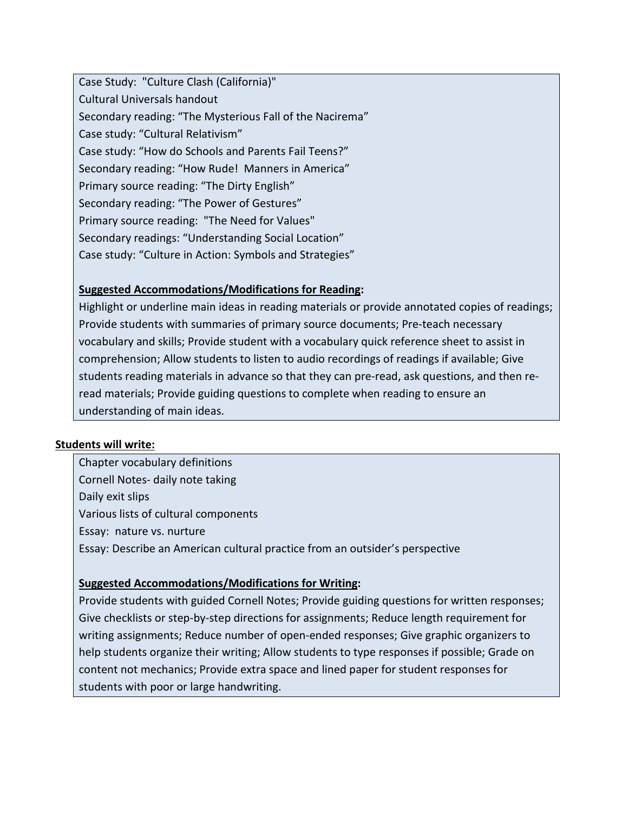Case Study: "Culture Clash (California)" Cultural Universals handout Secondary reading: "The Mysterious Fall of the Nacirema" Case study: "Cultural Relativism" Case study: "How do Schools and Parents Fail Teens?" Secondary reading: "How Rude! Manners in America" Primary source reading: "The Dirty English" Secondary reading: "The Power of Gestures" Primary source reading: "The Need for Values" Secondary readings: "Understanding Social Location" Case study: "Culture in Action: Symbols and Strategies"

## **Suggested Accommodations/Modifications for Reading:**

Highlight or underline main ideas in reading materials or provide annotated copies of readings; Provide students with summaries of primary source documents; Pre-teach necessary vocabulary and skills; Provide student with a vocabulary quick reference sheet to assist in comprehension; Allow students to listen to audio recordings of readings if available; Give students reading materials in advance so that they can pre-read, ask questions, and then reread materials; Provide guiding questions to complete when reading to ensure an understanding of main ideas.

### **Students will write:**

Chapter vocabulary definitions Cornell Notes- daily note taking Daily exit slips Various lists of cultural components Essay: nature vs. nurture Essay: Describe an American cultural practice from an outsider's perspective

## **Suggested Accommodations/Modifications for Writing:**

Provide students with guided Cornell Notes; Provide guiding questions for written responses; Give checklists or step-by-step directions for assignments; Reduce length requirement for writing assignments; Reduce number of open-ended responses; Give graphic organizers to help students organize their writing; Allow students to type responses if possible; Grade on content not mechanics; Provide extra space and lined paper for student responses for students with poor or large handwriting.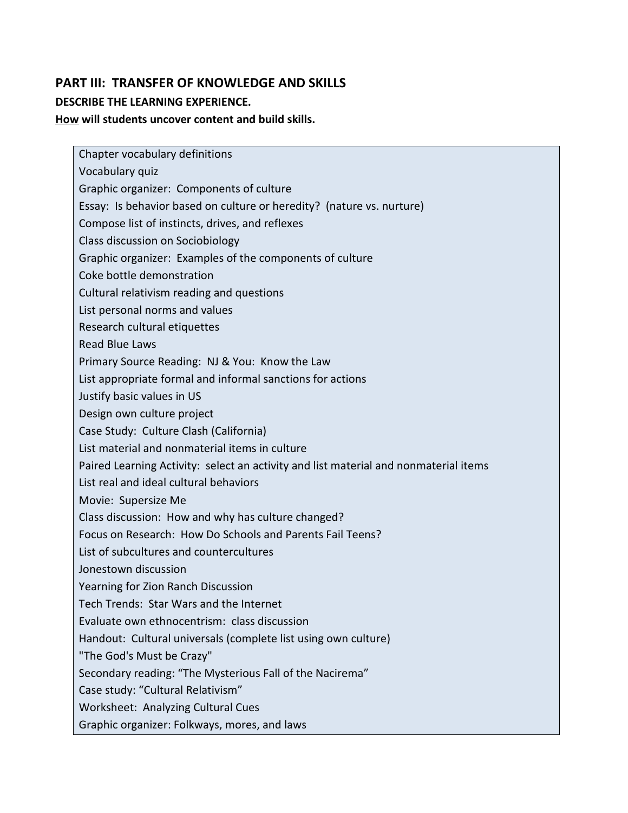# **PART III: TRANSFER OF KNOWLEDGE AND SKILLS DESCRIBE THE LEARNING EXPERIENCE.**

**How will students uncover content and build skills.** 

Chapter vocabulary definitions Vocabulary quiz Graphic organizer: Components of culture Essay: Is behavior based on culture or heredity? (nature vs. nurture) Compose list of instincts, drives, and reflexes Class discussion on Sociobiology Graphic organizer: Examples of the components of culture Coke bottle demonstration Cultural relativism reading and questions List personal norms and values Research cultural etiquettes Read Blue Laws Primary Source Reading: NJ & You: Know the Law List appropriate formal and informal sanctions for actions Justify basic values in US Design own culture project Case Study: Culture Clash (California) List material and nonmaterial items in culture Paired Learning Activity: select an activity and list material and nonmaterial items List real and ideal cultural behaviors Movie: Supersize Me Class discussion: How and why has culture changed? Focus on Research: How Do Schools and Parents Fail Teens? List of subcultures and countercultures Jonestown discussion Yearning for Zion Ranch Discussion Tech Trends: Star Wars and the Internet Evaluate own ethnocentrism: class discussion Handout: Cultural universals (complete list using own culture) "The God's Must be Crazy" Secondary reading: "The Mysterious Fall of the Nacirema" Case study: "Cultural Relativism" Worksheet: Analyzing Cultural Cues Graphic organizer: Folkways, mores, and laws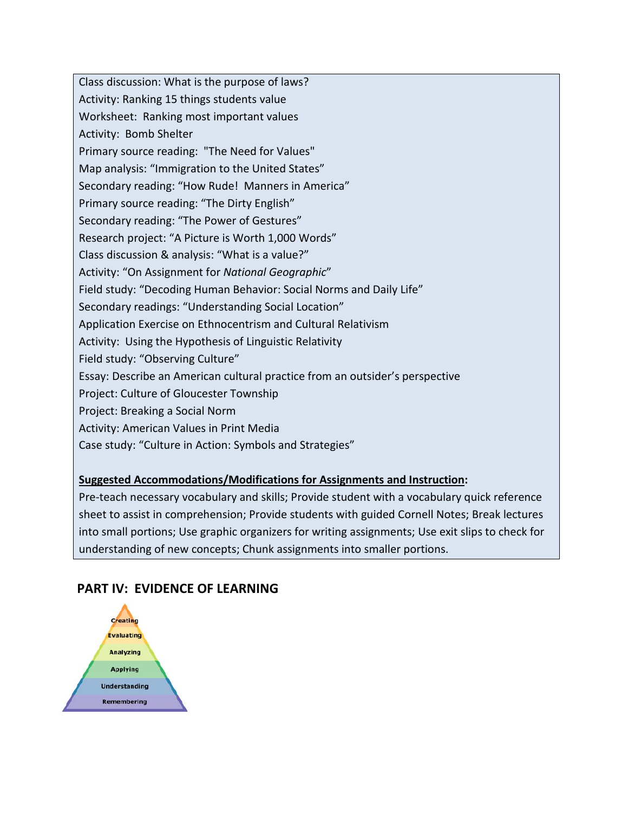Class discussion: What is the purpose of laws? Activity: Ranking 15 things students value Worksheet: Ranking most important values Activity: Bomb Shelter Primary source reading: "The Need for Values" Map analysis: "Immigration to the United States" Secondary reading: "How Rude! Manners in America" Primary source reading: "The Dirty English" Secondary reading: "The Power of Gestures" Research project: "A Picture is Worth 1,000 Words" Class discussion & analysis: "What is a value?" Activity: "On Assignment for *National Geographic*" Field study: "Decoding Human Behavior: Social Norms and Daily Life" Secondary readings: "Understanding Social Location" Application Exercise on Ethnocentrism and Cultural Relativism Activity: Using the Hypothesis of Linguistic Relativity Field study: "Observing Culture" Essay: Describe an American cultural practice from an outsider's perspective Project: Culture of Gloucester Township Project: Breaking a Social Norm Activity: American Values in Print Media Case study: "Culture in Action: Symbols and Strategies"

# **Suggested Accommodations/Modifications for Assignments and Instruction:**

Pre-teach necessary vocabulary and skills; Provide student with a vocabulary quick reference sheet to assist in comprehension; Provide students with guided Cornell Notes; Break lectures into small portions; Use graphic organizers for writing assignments; Use exit slips to check for understanding of new concepts; Chunk assignments into smaller portions.

# **PART IV: EVIDENCE OF LEARNING**

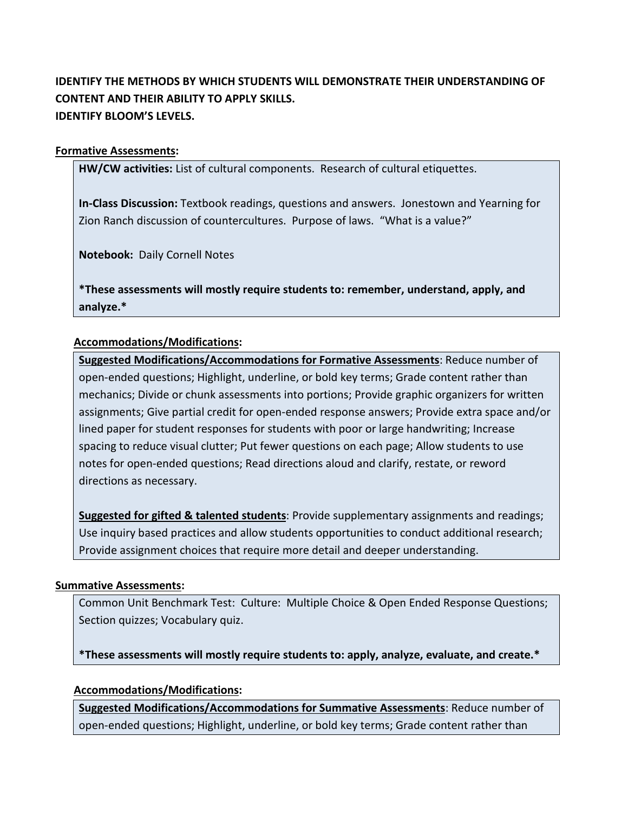# **IDENTIFY THE METHODS BY WHICH STUDENTS WILL DEMONSTRATE THEIR UNDERSTANDING OF CONTENT AND THEIR ABILITY TO APPLY SKILLS. IDENTIFY BLOOM'S LEVELS.**

## **Formative Assessments:**

**HW/CW activities:** List of cultural components. Research of cultural etiquettes.

**In-Class Discussion:** Textbook readings, questions and answers. Jonestown and Yearning for Zion Ranch discussion of countercultures. Purpose of laws. "What is a value?"

**Notebook:** Daily Cornell Notes

**\*These assessments will mostly require students to: remember, understand, apply, and analyze.\***

## **Accommodations/Modifications:**

**Suggested Modifications/Accommodations for Formative Assessments**: Reduce number of open-ended questions; Highlight, underline, or bold key terms; Grade content rather than mechanics; Divide or chunk assessments into portions; Provide graphic organizers for written assignments; Give partial credit for open-ended response answers; Provide extra space and/or lined paper for student responses for students with poor or large handwriting; Increase spacing to reduce visual clutter; Put fewer questions on each page; Allow students to use notes for open-ended questions; Read directions aloud and clarify, restate, or reword directions as necessary.

**Suggested for gifted & talented students**: Provide supplementary assignments and readings; Use inquiry based practices and allow students opportunities to conduct additional research; Provide assignment choices that require more detail and deeper understanding.

### **Summative Assessments:**

Common Unit Benchmark Test: Culture: Multiple Choice & Open Ended Response Questions; Section quizzes; Vocabulary quiz.

**\*These assessments will mostly require students to: apply, analyze, evaluate, and create.\***

### **Accommodations/Modifications:**

**Suggested Modifications/Accommodations for Summative Assessments**: Reduce number of open-ended questions; Highlight, underline, or bold key terms; Grade content rather than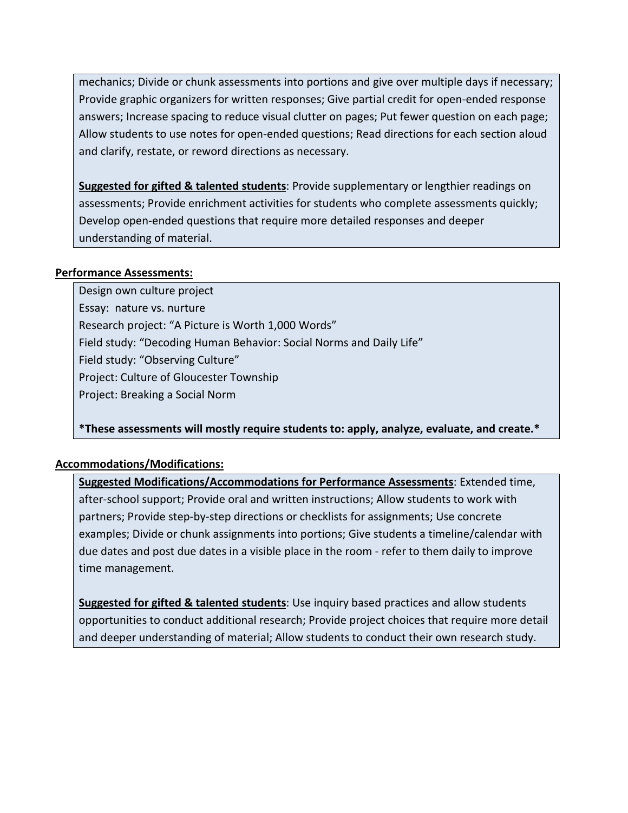mechanics; Divide or chunk assessments into portions and give over multiple days if necessary; Provide graphic organizers for written responses; Give partial credit for open-ended response answers; Increase spacing to reduce visual clutter on pages; Put fewer question on each page; Allow students to use notes for open-ended questions; Read directions for each section aloud and clarify, restate, or reword directions as necessary.

**Suggested for gifted & talented students**: Provide supplementary or lengthier readings on assessments; Provide enrichment activities for students who complete assessments quickly; Develop open-ended questions that require more detailed responses and deeper understanding of material.

## **Performance Assessments:**

Design own culture project Essay: nature vs. nurture Research project: "A Picture is Worth 1,000 Words" Field study: "Decoding Human Behavior: Social Norms and Daily Life" Field study: "Observing Culture" Project: Culture of Gloucester Township Project: Breaking a Social Norm

**\*These assessments will mostly require students to: apply, analyze, evaluate, and create.\*** 

## **Accommodations/Modifications:**

**Suggested Modifications/Accommodations for Performance Assessments**: Extended time, after-school support; Provide oral and written instructions; Allow students to work with partners; Provide step-by-step directions or checklists for assignments; Use concrete examples; Divide or chunk assignments into portions; Give students a timeline/calendar with due dates and post due dates in a visible place in the room - refer to them daily to improve time management.

**Suggested for gifted & talented students**: Use inquiry based practices and allow students opportunities to conduct additional research; Provide project choices that require more detail and deeper understanding of material; Allow students to conduct their own research study.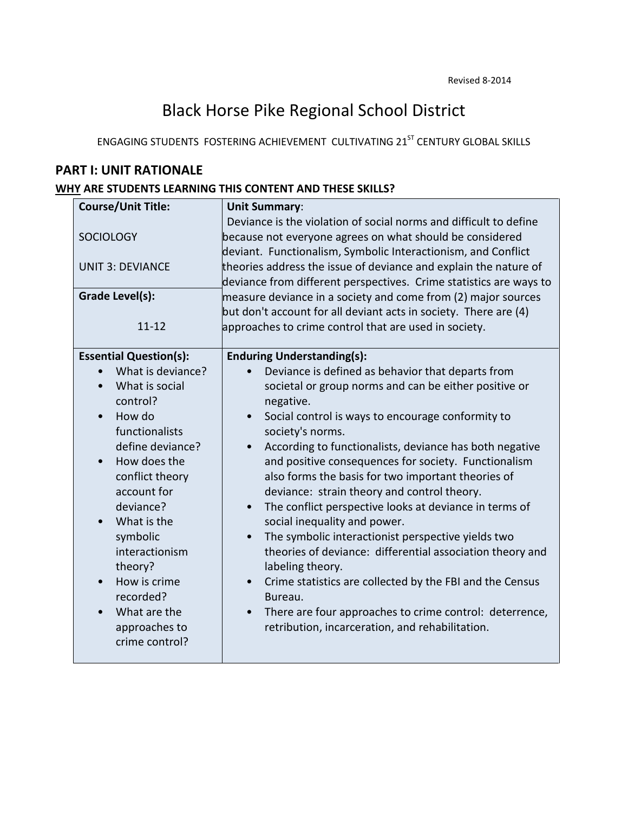# Black Horse Pike Regional School District

ENGAGING STUDENTS FOSTERING ACHIEVEMENT CULTIVATING 21<sup>ST</sup> CENTURY GLOBAL SKILLS

# **PART I: UNIT RATIONALE**

## **WHY ARE STUDENTS LEARNING THIS CONTENT AND THESE SKILLS?**

| <b>Course/Unit Title:</b>                                                                                                                                                                                                                                                  | <b>Unit Summary:</b>                                                                                                                                                                                                                                                                                                                                                                                                                                                                                                                                                                                                                                                                             |
|----------------------------------------------------------------------------------------------------------------------------------------------------------------------------------------------------------------------------------------------------------------------------|--------------------------------------------------------------------------------------------------------------------------------------------------------------------------------------------------------------------------------------------------------------------------------------------------------------------------------------------------------------------------------------------------------------------------------------------------------------------------------------------------------------------------------------------------------------------------------------------------------------------------------------------------------------------------------------------------|
| <b>SOCIOLOGY</b><br><b>UNIT 3: DEVIANCE</b>                                                                                                                                                                                                                                | Deviance is the violation of social norms and difficult to define<br>because not everyone agrees on what should be considered<br>deviant. Functionalism, Symbolic Interactionism, and Conflict<br>theories address the issue of deviance and explain the nature of<br>deviance from different perspectives. Crime statistics are ways to                                                                                                                                                                                                                                                                                                                                                         |
| <b>Grade Level(s):</b>                                                                                                                                                                                                                                                     | measure deviance in a society and come from (2) major sources                                                                                                                                                                                                                                                                                                                                                                                                                                                                                                                                                                                                                                    |
| $11 - 12$                                                                                                                                                                                                                                                                  | but don't account for all deviant acts in society. There are (4)<br>approaches to crime control that are used in society.                                                                                                                                                                                                                                                                                                                                                                                                                                                                                                                                                                        |
| <b>Essential Question(s):</b>                                                                                                                                                                                                                                              | <b>Enduring Understanding(s):</b>                                                                                                                                                                                                                                                                                                                                                                                                                                                                                                                                                                                                                                                                |
| What is deviance?<br>What is social<br>$\bullet$<br>control?<br>How do<br>$\bullet$<br>functionalists<br>define deviance?<br>How does the<br>$\bullet$<br>conflict theory<br>account for<br>deviance?<br>What is the<br>$\bullet$<br>symbolic<br>interactionism<br>theory? | Deviance is defined as behavior that departs from<br>societal or group norms and can be either positive or<br>negative.<br>Social control is ways to encourage conformity to<br>$\bullet$<br>society's norms.<br>According to functionalists, deviance has both negative<br>$\bullet$<br>and positive consequences for society. Functionalism<br>also forms the basis for two important theories of<br>deviance: strain theory and control theory.<br>The conflict perspective looks at deviance in terms of<br>social inequality and power.<br>The symbolic interactionist perspective yields two<br>$\bullet$<br>theories of deviance: differential association theory and<br>labeling theory. |
| How is crime<br>$\bullet$<br>recorded?<br>What are the<br>approaches to<br>crime control?                                                                                                                                                                                  | Crime statistics are collected by the FBI and the Census<br>$\bullet$<br>Bureau.<br>There are four approaches to crime control: deterrence,<br>$\bullet$<br>retribution, incarceration, and rehabilitation.                                                                                                                                                                                                                                                                                                                                                                                                                                                                                      |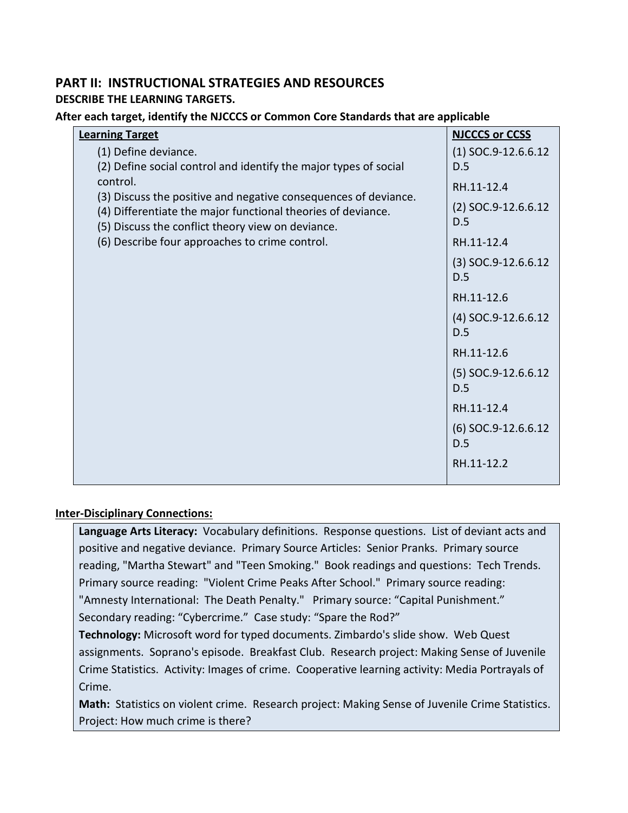# **PART II: INSTRUCTIONAL STRATEGIES AND RESOURCES DESCRIBE THE LEARNING TARGETS.**

## **After each target, identify the NJCCCS or Common Core Standards that are applicable**

| <b>Learning Target</b>                                                                                            | <b>NJCCCS or CCSS</b>        |
|-------------------------------------------------------------------------------------------------------------------|------------------------------|
| (1) Define deviance.                                                                                              | $(1)$ SOC.9-12.6.6.12        |
| (2) Define social control and identify the major types of social                                                  | D.5                          |
| control.                                                                                                          | RH.11-12.4                   |
| (3) Discuss the positive and negative consequences of deviance.                                                   | $(2)$ SOC.9-12.6.6.12        |
| (4) Differentiate the major functional theories of deviance.<br>(5) Discuss the conflict theory view on deviance. | D.5                          |
| (6) Describe four approaches to crime control.                                                                    | RH.11-12.4                   |
|                                                                                                                   | $(3)$ SOC.9-12.6.6.12<br>D.5 |
|                                                                                                                   | RH.11-12.6                   |
|                                                                                                                   | $(4)$ SOC.9-12.6.6.12<br>D.5 |
|                                                                                                                   | RH.11-12.6                   |
|                                                                                                                   | $(5)$ SOC.9-12.6.6.12<br>D.5 |
|                                                                                                                   | RH.11-12.4                   |
|                                                                                                                   | $(6)$ SOC.9-12.6.6.12<br>D.5 |
|                                                                                                                   | RH.11-12.2                   |

## **Inter-Disciplinary Connections:**

**Language Arts Literacy:** Vocabulary definitions. Response questions. List of deviant acts and positive and negative deviance. Primary Source Articles: Senior Pranks. Primary source reading, "Martha Stewart" and "Teen Smoking." Book readings and questions: Tech Trends. Primary source reading: "Violent Crime Peaks After School." Primary source reading: "Amnesty International: The Death Penalty." Primary source: "Capital Punishment."

Secondary reading: "Cybercrime." Case study: "Spare the Rod?"

**Technology:** Microsoft word for typed documents. Zimbardo's slide show. Web Quest assignments. Soprano's episode. Breakfast Club. Research project: Making Sense of Juvenile Crime Statistics. Activity: Images of crime. Cooperative learning activity: Media Portrayals of Crime.

**Math:** Statistics on violent crime. Research project: Making Sense of Juvenile Crime Statistics. Project: How much crime is there?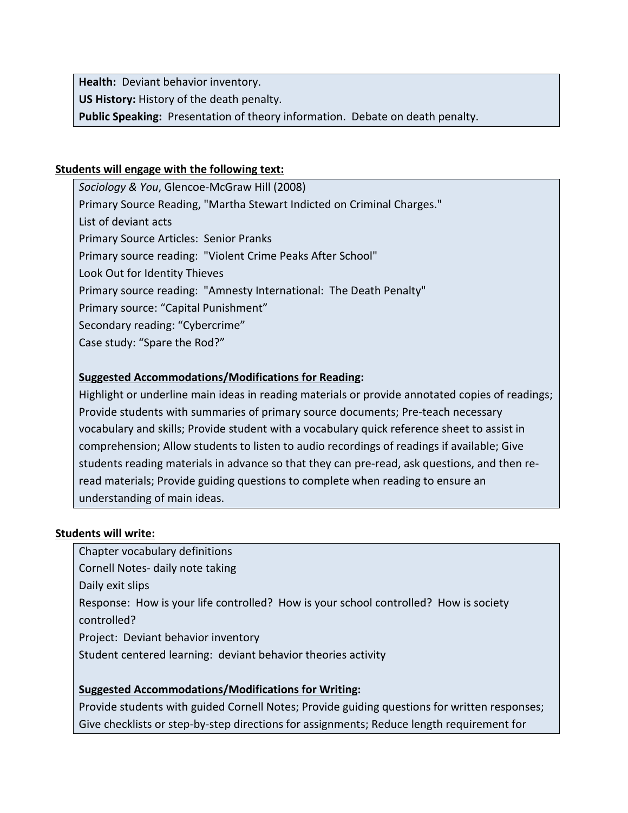**Health:** Deviant behavior inventory.

**US History:** History of the death penalty.

**Public Speaking:** Presentation of theory information. Debate on death penalty.

## **Students will engage with the following text:**

*Sociology & You*, Glencoe-McGraw Hill (2008) Primary Source Reading, "Martha Stewart Indicted on Criminal Charges." List of deviant acts Primary Source Articles: Senior Pranks Primary source reading: "Violent Crime Peaks After School" Look Out for Identity Thieves Primary source reading: "Amnesty International: The Death Penalty" Primary source: "Capital Punishment" Secondary reading: "Cybercrime" Case study: "Spare the Rod?"

# **Suggested Accommodations/Modifications for Reading:**

Highlight or underline main ideas in reading materials or provide annotated copies of readings; Provide students with summaries of primary source documents; Pre-teach necessary vocabulary and skills; Provide student with a vocabulary quick reference sheet to assist in comprehension; Allow students to listen to audio recordings of readings if available; Give students reading materials in advance so that they can pre-read, ask questions, and then reread materials; Provide guiding questions to complete when reading to ensure an understanding of main ideas.

### **Students will write:**

Chapter vocabulary definitions Cornell Notes- daily note taking Daily exit slips Response: How is your life controlled? How is your school controlled? How is society controlled?

Project: Deviant behavior inventory

Student centered learning: deviant behavior theories activity

# **Suggested Accommodations/Modifications for Writing:**

Provide students with guided Cornell Notes; Provide guiding questions for written responses; Give checklists or step-by-step directions for assignments; Reduce length requirement for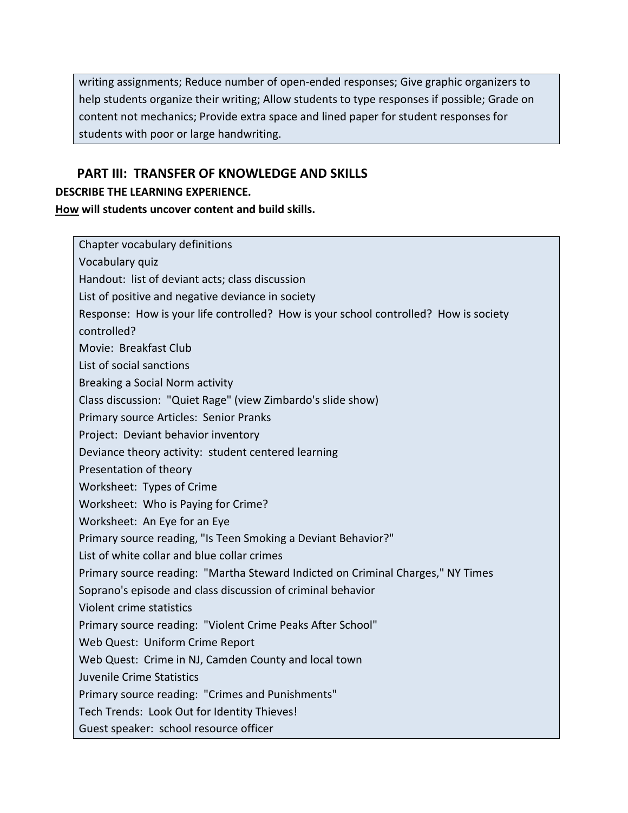writing assignments; Reduce number of open-ended responses; Give graphic organizers to help students organize their writing; Allow students to type responses if possible; Grade on content not mechanics; Provide extra space and lined paper for student responses for students with poor or large handwriting.

# **PART III: TRANSFER OF KNOWLEDGE AND SKILLS**

## **DESCRIBE THE LEARNING EXPERIENCE.**

**How will students uncover content and build skills.** 

| Chapter vocabulary definitions                                                       |
|--------------------------------------------------------------------------------------|
| Vocabulary quiz                                                                      |
| Handout: list of deviant acts; class discussion                                      |
| List of positive and negative deviance in society                                    |
| Response: How is your life controlled? How is your school controlled? How is society |
| controlled?                                                                          |
| Movie: Breakfast Club                                                                |
| List of social sanctions                                                             |
| Breaking a Social Norm activity                                                      |
| Class discussion: "Quiet Rage" (view Zimbardo's slide show)                          |
| Primary source Articles: Senior Pranks                                               |
| Project: Deviant behavior inventory                                                  |
| Deviance theory activity: student centered learning                                  |
| Presentation of theory                                                               |
| Worksheet: Types of Crime                                                            |
| Worksheet: Who is Paying for Crime?                                                  |
| Worksheet: An Eye for an Eye                                                         |
| Primary source reading, "Is Teen Smoking a Deviant Behavior?"                        |
| List of white collar and blue collar crimes                                          |
| Primary source reading: "Martha Steward Indicted on Criminal Charges," NY Times      |
| Soprano's episode and class discussion of criminal behavior                          |
| Violent crime statistics                                                             |
| Primary source reading: "Violent Crime Peaks After School"                           |
| Web Quest: Uniform Crime Report                                                      |
| Web Quest: Crime in NJ, Camden County and local town                                 |
| Juvenile Crime Statistics                                                            |
| Primary source reading: "Crimes and Punishments"                                     |
| Tech Trends: Look Out for Identity Thieves!                                          |
| Guest speaker: school resource officer                                               |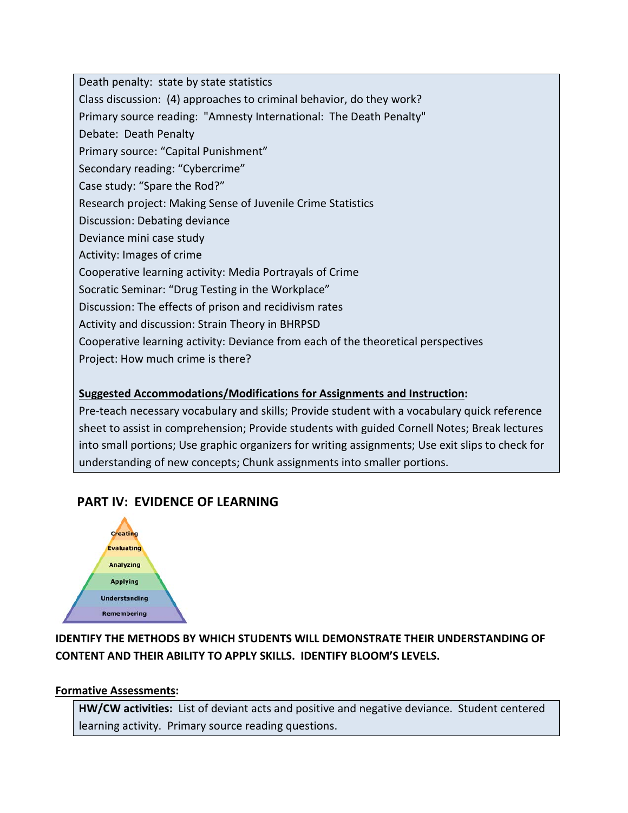Death penalty: state by state statistics

Class discussion: (4) approaches to criminal behavior, do they work?

Primary source reading: "Amnesty International: The Death Penalty"

Debate: Death Penalty

Primary source: "Capital Punishment"

Secondary reading: "Cybercrime"

Case study: "Spare the Rod?"

Research project: Making Sense of Juvenile Crime Statistics

Discussion: Debating deviance

Deviance mini case study

Activity: Images of crime

Cooperative learning activity: Media Portrayals of Crime

Socratic Seminar: "Drug Testing in the Workplace"

Discussion: The effects of prison and recidivism rates

Activity and discussion: Strain Theory in BHRPSD

Cooperative learning activity: Deviance from each of the theoretical perspectives

Project: How much crime is there?

# **Suggested Accommodations/Modifications for Assignments and Instruction:**

Pre-teach necessary vocabulary and skills; Provide student with a vocabulary quick reference sheet to assist in comprehension; Provide students with guided Cornell Notes; Break lectures into small portions; Use graphic organizers for writing assignments; Use exit slips to check for understanding of new concepts; Chunk assignments into smaller portions.

# **PART IV: EVIDENCE OF LEARNING**



# **IDENTIFY THE METHODS BY WHICH STUDENTS WILL DEMONSTRATE THEIR UNDERSTANDING OF CONTENT AND THEIR ABILITY TO APPLY SKILLS. IDENTIFY BLOOM'S LEVELS.**

## **Formative Assessments:**

**HW/CW activities:** List of deviant acts and positive and negative deviance. Student centered learning activity. Primary source reading questions.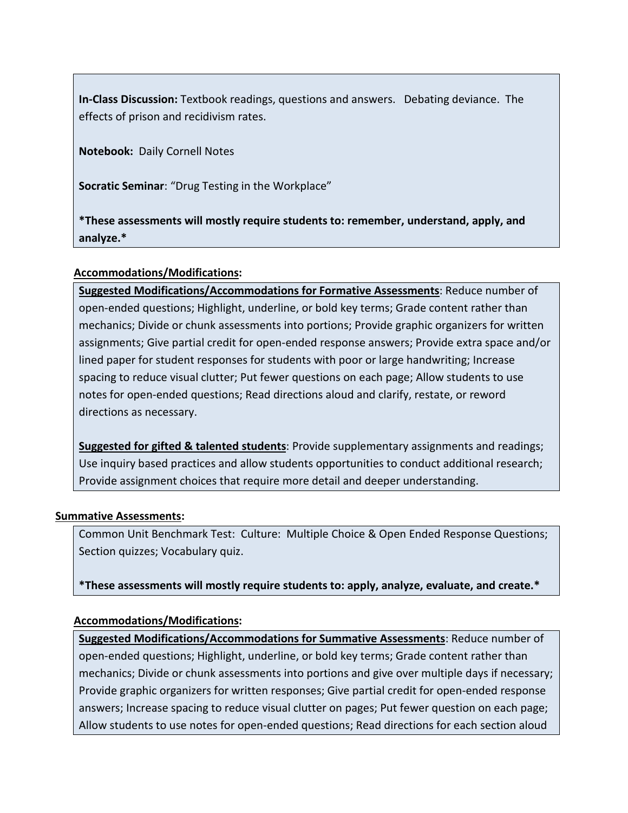**In-Class Discussion:** Textbook readings, questions and answers.Debating deviance. The effects of prison and recidivism rates.

**Notebook:** Daily Cornell Notes

**Socratic Seminar**: "Drug Testing in the Workplace"

**\*These assessments will mostly require students to: remember, understand, apply, and analyze.\***

## **Accommodations/Modifications:**

**Suggested Modifications/Accommodations for Formative Assessments**: Reduce number of open-ended questions; Highlight, underline, or bold key terms; Grade content rather than mechanics; Divide or chunk assessments into portions; Provide graphic organizers for written assignments; Give partial credit for open-ended response answers; Provide extra space and/or lined paper for student responses for students with poor or large handwriting; Increase spacing to reduce visual clutter; Put fewer questions on each page; Allow students to use notes for open-ended questions; Read directions aloud and clarify, restate, or reword directions as necessary.

**Suggested for gifted & talented students**: Provide supplementary assignments and readings; Use inquiry based practices and allow students opportunities to conduct additional research; Provide assignment choices that require more detail and deeper understanding.

### **Summative Assessments:**

Common Unit Benchmark Test: Culture: Multiple Choice & Open Ended Response Questions; Section quizzes; Vocabulary quiz.

**\*These assessments will mostly require students to: apply, analyze, evaluate, and create.\***

## **Accommodations/Modifications:**

**Suggested Modifications/Accommodations for Summative Assessments**: Reduce number of open-ended questions; Highlight, underline, or bold key terms; Grade content rather than mechanics; Divide or chunk assessments into portions and give over multiple days if necessary; Provide graphic organizers for written responses; Give partial credit for open-ended response answers; Increase spacing to reduce visual clutter on pages; Put fewer question on each page; Allow students to use notes for open-ended questions; Read directions for each section aloud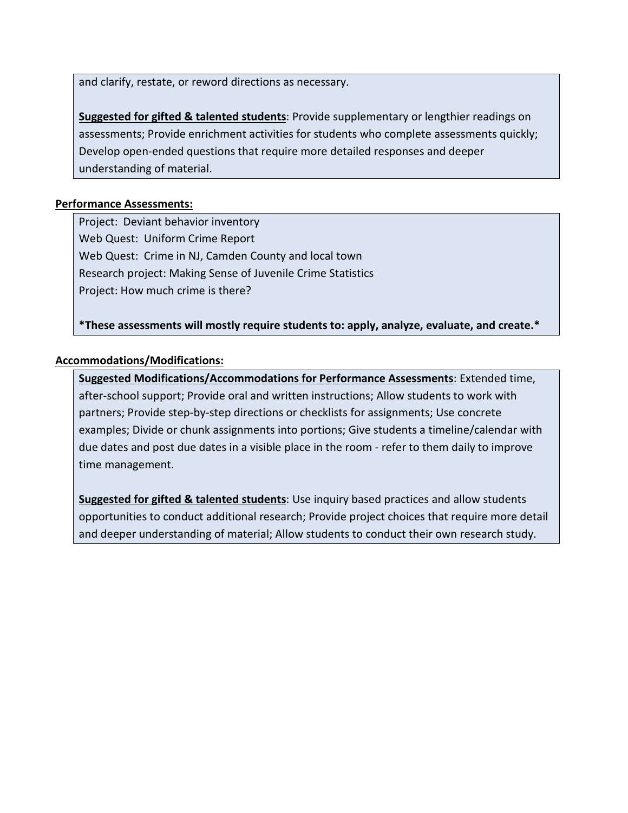and clarify, restate, or reword directions as necessary.

**Suggested for gifted & talented students**: Provide supplementary or lengthier readings on assessments; Provide enrichment activities for students who complete assessments quickly; Develop open-ended questions that require more detailed responses and deeper understanding of material.

## **Performance Assessments:**

Project: Deviant behavior inventory Web Quest: Uniform Crime Report Web Quest: Crime in NJ, Camden County and local town Research project: Making Sense of Juvenile Crime Statistics Project: How much crime is there?

**\*These assessments will mostly require students to: apply, analyze, evaluate, and create.\*** 

## **Accommodations/Modifications:**

**Suggested Modifications/Accommodations for Performance Assessments**: Extended time, after-school support; Provide oral and written instructions; Allow students to work with partners; Provide step-by-step directions or checklists for assignments; Use concrete examples; Divide or chunk assignments into portions; Give students a timeline/calendar with due dates and post due dates in a visible place in the room - refer to them daily to improve time management.

**Suggested for gifted & talented students**: Use inquiry based practices and allow students opportunities to conduct additional research; Provide project choices that require more detail and deeper understanding of material; Allow students to conduct their own research study.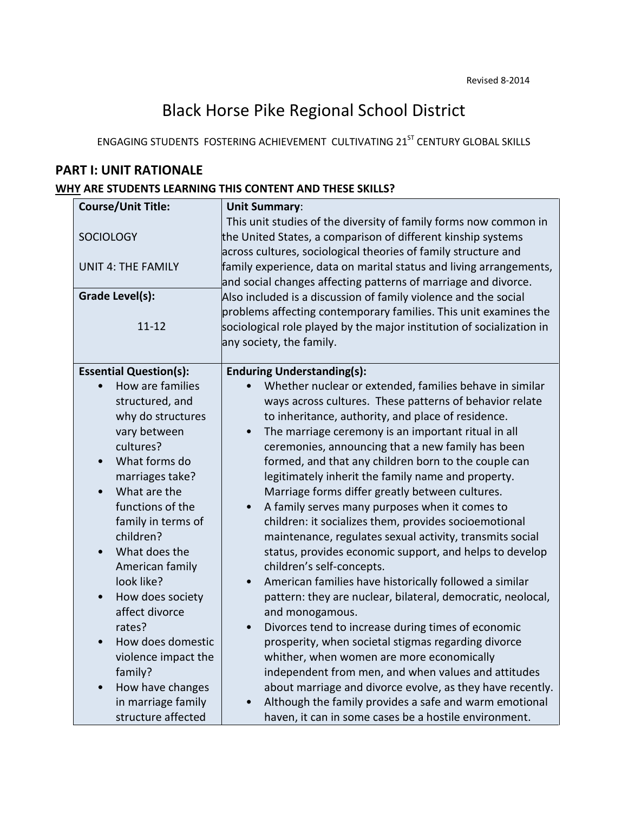# Black Horse Pike Regional School District

ENGAGING STUDENTS FOSTERING ACHIEVEMENT CULTIVATING 21<sup>ST</sup> CENTURY GLOBAL SKILLS

# **PART I: UNIT RATIONALE**

## **WHY ARE STUDENTS LEARNING THIS CONTENT AND THESE SKILLS?**

| <b>Course/Unit Title:</b>      | <b>Unit Summary:</b>                                                                                                                                                                                   |
|--------------------------------|--------------------------------------------------------------------------------------------------------------------------------------------------------------------------------------------------------|
| <b>SOCIOLOGY</b>               | This unit studies of the diversity of family forms now common in<br>the United States, a comparison of different kinship systems                                                                       |
| <b>UNIT 4: THE FAMILY</b>      | across cultures, sociological theories of family structure and<br>family experience, data on marital status and living arrangements,<br>and social changes affecting patterns of marriage and divorce. |
| <b>Grade Level(s):</b>         | Also included is a discussion of family violence and the social                                                                                                                                        |
|                                | problems affecting contemporary families. This unit examines the                                                                                                                                       |
| $11 - 12$                      | sociological role played by the major institution of socialization in                                                                                                                                  |
|                                | any society, the family.                                                                                                                                                                               |
| <b>Essential Question(s):</b>  | <b>Enduring Understanding(s):</b>                                                                                                                                                                      |
| How are families               | Whether nuclear or extended, families behave in similar                                                                                                                                                |
| structured, and                | ways across cultures. These patterns of behavior relate                                                                                                                                                |
| why do structures              | to inheritance, authority, and place of residence.                                                                                                                                                     |
| vary between                   | The marriage ceremony is an important ritual in all                                                                                                                                                    |
| cultures?                      | ceremonies, announcing that a new family has been                                                                                                                                                      |
| What forms do<br>$\bullet$     | formed, and that any children born to the couple can                                                                                                                                                   |
| marriages take?                | legitimately inherit the family name and property.                                                                                                                                                     |
| What are the<br>$\bullet$      | Marriage forms differ greatly between cultures.                                                                                                                                                        |
| functions of the               | A family serves many purposes when it comes to                                                                                                                                                         |
| family in terms of             | children: it socializes them, provides socioemotional                                                                                                                                                  |
| children?                      | maintenance, regulates sexual activity, transmits social                                                                                                                                               |
| What does the                  | status, provides economic support, and helps to develop                                                                                                                                                |
| American family                | children's self-concepts.                                                                                                                                                                              |
| look like?                     | American families have historically followed a similar<br>$\bullet$                                                                                                                                    |
| How does society<br>$\bullet$  | pattern: they are nuclear, bilateral, democratic, neolocal,                                                                                                                                            |
| affect divorce                 | and monogamous.                                                                                                                                                                                        |
| rates?                         | Divorces tend to increase during times of economic<br>$\bullet$                                                                                                                                        |
| How does domestic<br>$\bullet$ | prosperity, when societal stigmas regarding divorce                                                                                                                                                    |
| violence impact the            | whither, when women are more economically                                                                                                                                                              |
| family?                        | independent from men, and when values and attitudes                                                                                                                                                    |
| How have changes<br>$\bullet$  | about marriage and divorce evolve, as they have recently.                                                                                                                                              |
| in marriage family             | Although the family provides a safe and warm emotional                                                                                                                                                 |
| structure affected             | haven, it can in some cases be a hostile environment.                                                                                                                                                  |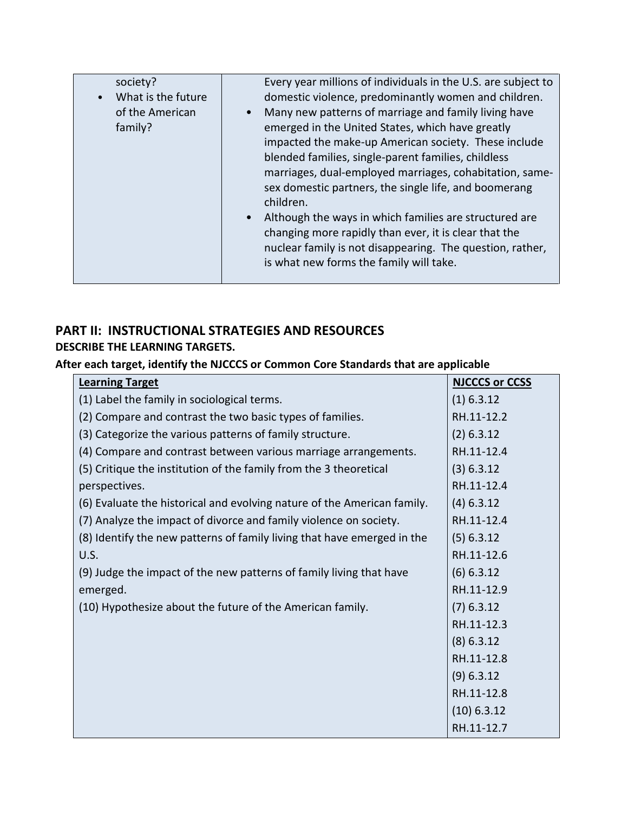| society?<br>What is the future<br>of the American<br>family? | Every year millions of individuals in the U.S. are subject to<br>domestic violence, predominantly women and children.<br>Many new patterns of marriage and family living have<br>emerged in the United States, which have greatly<br>impacted the make-up American society. These include<br>blended families, single-parent families, childless<br>marriages, dual-employed marriages, cohabitation, same-<br>sex domestic partners, the single life, and boomerang<br>children.<br>Although the ways in which families are structured are<br>changing more rapidly than ever, it is clear that the<br>nuclear family is not disappearing. The question, rather,<br>is what new forms the family will take. |
|--------------------------------------------------------------|--------------------------------------------------------------------------------------------------------------------------------------------------------------------------------------------------------------------------------------------------------------------------------------------------------------------------------------------------------------------------------------------------------------------------------------------------------------------------------------------------------------------------------------------------------------------------------------------------------------------------------------------------------------------------------------------------------------|

# **PART II: INSTRUCTIONAL STRATEGIES AND RESOURCES DESCRIBE THE LEARNING TARGETS.**

# **After each target, identify the NJCCCS or Common Core Standards that are applicable**

| <b>Learning Target</b>                                                  | <b>NJCCCS or CCSS</b> |
|-------------------------------------------------------------------------|-----------------------|
| (1) Label the family in sociological terms.                             | $(1)$ 6.3.12          |
| (2) Compare and contrast the two basic types of families.               | RH.11-12.2            |
| (3) Categorize the various patterns of family structure.                | (2) 6.3.12            |
| (4) Compare and contrast between various marriage arrangements.         | RH.11-12.4            |
| (5) Critique the institution of the family from the 3 theoretical       | (3) 6.3.12            |
| perspectives.                                                           | RH.11-12.4            |
| (6) Evaluate the historical and evolving nature of the American family. | $(4)$ 6.3.12          |
| (7) Analyze the impact of divorce and family violence on society.       | RH.11-12.4            |
| (8) Identify the new patterns of family living that have emerged in the | (5) 6.3.12            |
| U.S.                                                                    | RH.11-12.6            |
| (9) Judge the impact of the new patterns of family living that have     | (6) 6.3.12            |
| emerged.                                                                | RH.11-12.9            |
| (10) Hypothesize about the future of the American family.               | $(7)$ 6.3.12          |
|                                                                         | RH.11-12.3            |
|                                                                         | $(8)$ 6.3.12          |
|                                                                         | RH.11-12.8            |
|                                                                         | (9) 6.3.12            |
|                                                                         | RH.11-12.8            |
|                                                                         | $(10)$ 6.3.12         |
|                                                                         | RH.11-12.7            |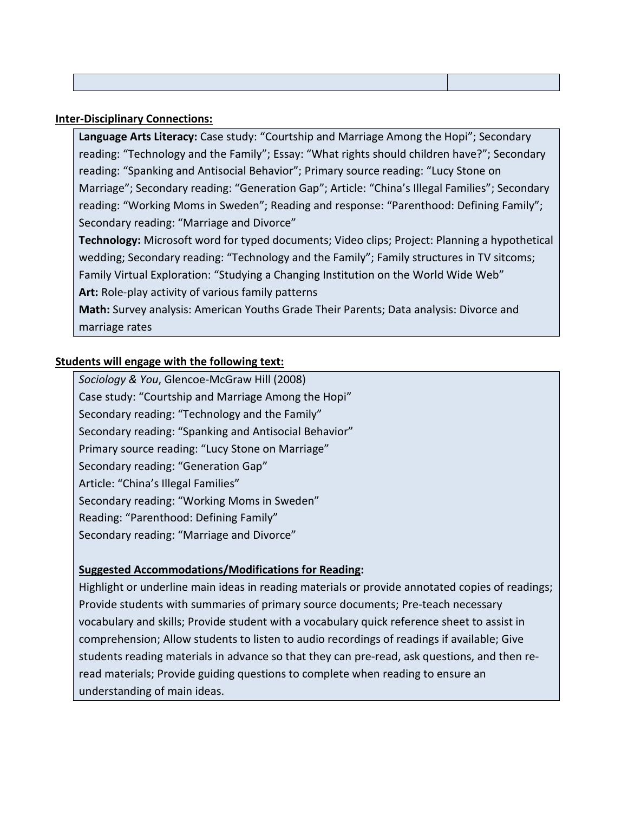| <b>Inter-Disciplinary Connections:</b> |
|----------------------------------------|
|----------------------------------------|

**Language Arts Literacy:** Case study: "Courtship and Marriage Among the Hopi"; Secondary reading: "Technology and the Family"; Essay: "What rights should children have?"; Secondary reading: "Spanking and Antisocial Behavior"; Primary source reading: "Lucy Stone on Marriage"; Secondary reading: "Generation Gap"; Article: "China's Illegal Families"; Secondary reading: "Working Moms in Sweden"; Reading and response: "Parenthood: Defining Family"; Secondary reading: "Marriage and Divorce"

**Technology:** Microsoft word for typed documents; Video clips; Project: Planning a hypothetical wedding; Secondary reading: "Technology and the Family"; Family structures in TV sitcoms; Family Virtual Exploration: "Studying a Changing Institution on the World Wide Web" **Art:** Role-play activity of various family patterns

**Math:** Survey analysis: American Youths Grade Their Parents; Data analysis: Divorce and marriage rates

## **Students will engage with the following text:**

*Sociology & You*, Glencoe-McGraw Hill (2008) Case study: "Courtship and Marriage Among the Hopi" Secondary reading: "Technology and the Family" Secondary reading: "Spanking and Antisocial Behavior" Primary source reading: "Lucy Stone on Marriage" Secondary reading: "Generation Gap" Article: "China's Illegal Families" Secondary reading: "Working Moms in Sweden" Reading: "Parenthood: Defining Family" Secondary reading: "Marriage and Divorce"

## **Suggested Accommodations/Modifications for Reading:**

Highlight or underline main ideas in reading materials or provide annotated copies of readings; Provide students with summaries of primary source documents; Pre-teach necessary vocabulary and skills; Provide student with a vocabulary quick reference sheet to assist in comprehension; Allow students to listen to audio recordings of readings if available; Give students reading materials in advance so that they can pre-read, ask questions, and then reread materials; Provide guiding questions to complete when reading to ensure an understanding of main ideas.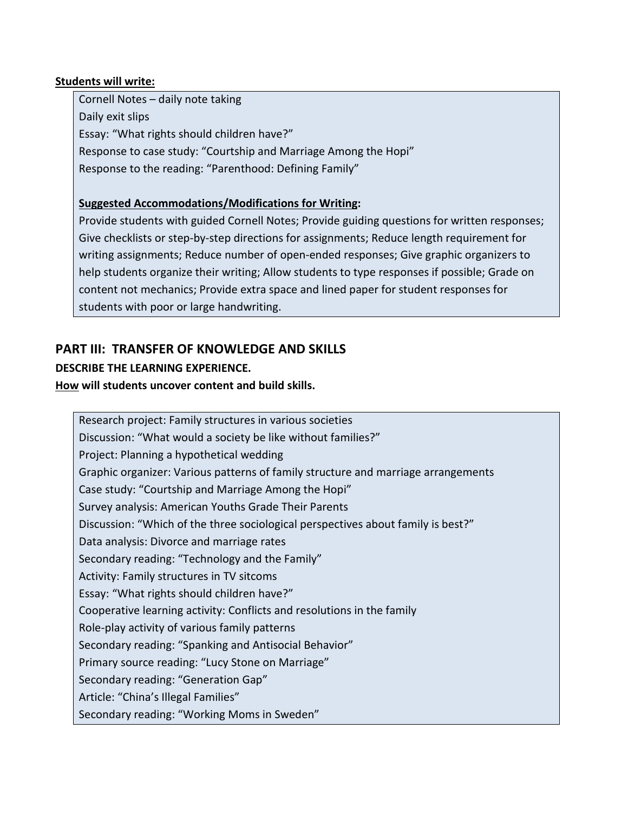## **Students will write:**

Cornell Notes – daily note taking Daily exit slips Essay: "What rights should children have?" Response to case study: "Courtship and Marriage Among the Hopi" Response to the reading: "Parenthood: Defining Family"

# **Suggested Accommodations/Modifications for Writing:**

Provide students with guided Cornell Notes; Provide guiding questions for written responses; Give checklists or step-by-step directions for assignments; Reduce length requirement for writing assignments; Reduce number of open-ended responses; Give graphic organizers to help students organize their writing; Allow students to type responses if possible; Grade on content not mechanics; Provide extra space and lined paper for student responses for students with poor or large handwriting.

# **PART III: TRANSFER OF KNOWLEDGE AND SKILLS**

# **DESCRIBE THE LEARNING EXPERIENCE.**

## **How will students uncover content and build skills.**

Research project: Family structures in various societies Discussion: "What would a society be like without families?" Project: Planning a hypothetical wedding Graphic organizer: Various patterns of family structure and marriage arrangements Case study: "Courtship and Marriage Among the Hopi" Survey analysis: American Youths Grade Their Parents Discussion: "Which of the three sociological perspectives about family is best?" Data analysis: Divorce and marriage rates Secondary reading: "Technology and the Family" Activity: Family structures in TV sitcoms Essay: "What rights should children have?" Cooperative learning activity: Conflicts and resolutions in the family Role-play activity of various family patterns Secondary reading: "Spanking and Antisocial Behavior" Primary source reading: "Lucy Stone on Marriage" Secondary reading: "Generation Gap" Article: "China's Illegal Families" Secondary reading: "Working Moms in Sweden"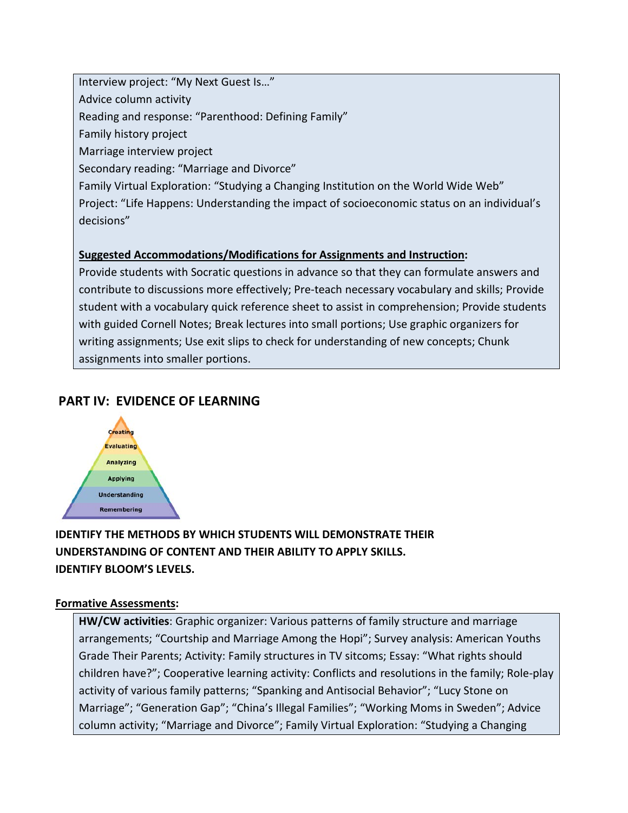Interview project: "My Next Guest Is…" Advice column activity Reading and response: "Parenthood: Defining Family" Family history project Marriage interview project Secondary reading: "Marriage and Divorce" Family Virtual Exploration: "Studying a Changing Institution on the World Wide Web" Project: "Life Happens: Understanding the impact of socioeconomic status on an individual's decisions"

## **Suggested Accommodations/Modifications for Assignments and Instruction:**

Provide students with Socratic questions in advance so that they can formulate answers and contribute to discussions more effectively; Pre-teach necessary vocabulary and skills; Provide student with a vocabulary quick reference sheet to assist in comprehension; Provide students with guided Cornell Notes; Break lectures into small portions; Use graphic organizers for writing assignments; Use exit slips to check for understanding of new concepts; Chunk assignments into smaller portions.

# **PART IV: EVIDENCE OF LEARNING**



# **IDENTIFY THE METHODS BY WHICH STUDENTS WILL DEMONSTRATE THEIR UNDERSTANDING OF CONTENT AND THEIR ABILITY TO APPLY SKILLS. IDENTIFY BLOOM'S LEVELS.**

## **Formative Assessments:**

**HW/CW activities**: Graphic organizer: Various patterns of family structure and marriage arrangements; "Courtship and Marriage Among the Hopi"; Survey analysis: American Youths Grade Their Parents; Activity: Family structures in TV sitcoms; Essay: "What rights should children have?"; Cooperative learning activity: Conflicts and resolutions in the family; Role-play activity of various family patterns; "Spanking and Antisocial Behavior"; "Lucy Stone on Marriage"; "Generation Gap"; "China's Illegal Families"; "Working Moms in Sweden"; Advice column activity; "Marriage and Divorce"; Family Virtual Exploration: "Studying a Changing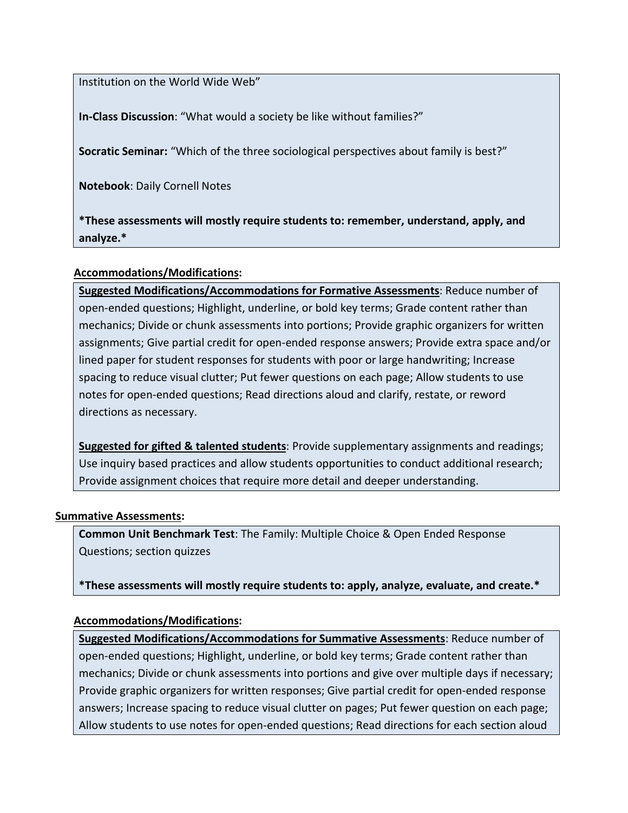Institution on the World Wide Web"

**In-Class Discussion**: "What would a society be like without families?"

**Socratic Seminar:** "Which of the three sociological perspectives about family is best?"

**Notebook**: Daily Cornell Notes

**\*These assessments will mostly require students to: remember, understand, apply, and analyze.\***

## **Accommodations/Modifications:**

**Suggested Modifications/Accommodations for Formative Assessments**: Reduce number of open-ended questions; Highlight, underline, or bold key terms; Grade content rather than mechanics; Divide or chunk assessments into portions; Provide graphic organizers for written assignments; Give partial credit for open-ended response answers; Provide extra space and/or lined paper for student responses for students with poor or large handwriting; Increase spacing to reduce visual clutter; Put fewer questions on each page; Allow students to use notes for open-ended questions; Read directions aloud and clarify, restate, or reword directions as necessary.

**Suggested for gifted & talented students**: Provide supplementary assignments and readings; Use inquiry based practices and allow students opportunities to conduct additional research; Provide assignment choices that require more detail and deeper understanding.

### **Summative Assessments:**

**Common Unit Benchmark Test**: The Family: Multiple Choice & Open Ended Response Questions; section quizzes

**\*These assessments will mostly require students to: apply, analyze, evaluate, and create.\***

### **Accommodations/Modifications:**

**Suggested Modifications/Accommodations for Summative Assessments**: Reduce number of open-ended questions; Highlight, underline, or bold key terms; Grade content rather than mechanics; Divide or chunk assessments into portions and give over multiple days if necessary; Provide graphic organizers for written responses; Give partial credit for open-ended response answers; Increase spacing to reduce visual clutter on pages; Put fewer question on each page; Allow students to use notes for open-ended questions; Read directions for each section aloud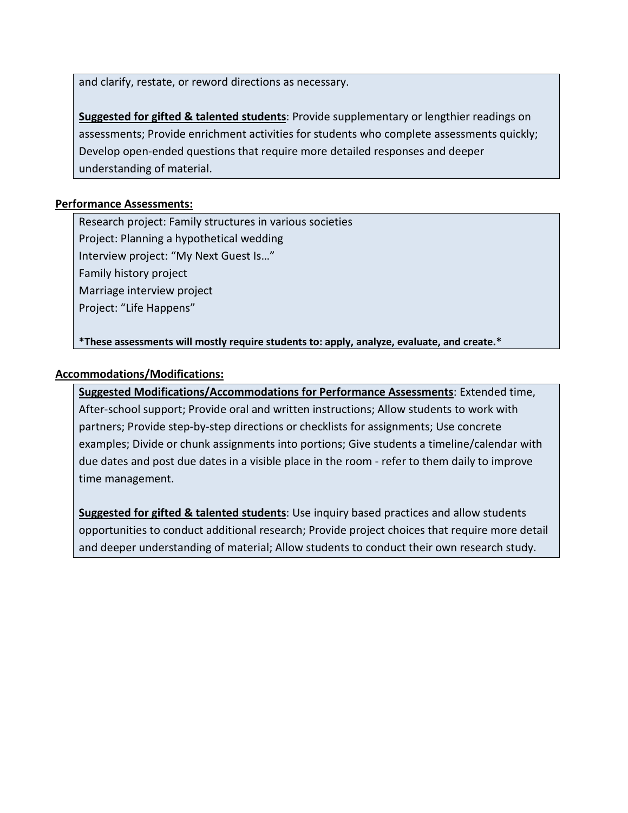and clarify, restate, or reword directions as necessary.

**Suggested for gifted & talented students**: Provide supplementary or lengthier readings on assessments; Provide enrichment activities for students who complete assessments quickly; Develop open-ended questions that require more detailed responses and deeper understanding of material.

## **Performance Assessments:**

Research project: Family structures in various societies Project: Planning a hypothetical wedding Interview project: "My Next Guest Is…" Family history project Marriage interview project Project: "Life Happens"

**\*These assessments will mostly require students to: apply, analyze, evaluate, and create.\*** 

## **Accommodations/Modifications:**

**Suggested Modifications/Accommodations for Performance Assessments**: Extended time, After-school support; Provide oral and written instructions; Allow students to work with partners; Provide step-by-step directions or checklists for assignments; Use concrete examples; Divide or chunk assignments into portions; Give students a timeline/calendar with due dates and post due dates in a visible place in the room - refer to them daily to improve time management.

**Suggested for gifted & talented students**: Use inquiry based practices and allow students opportunities to conduct additional research; Provide project choices that require more detail and deeper understanding of material; Allow students to conduct their own research study.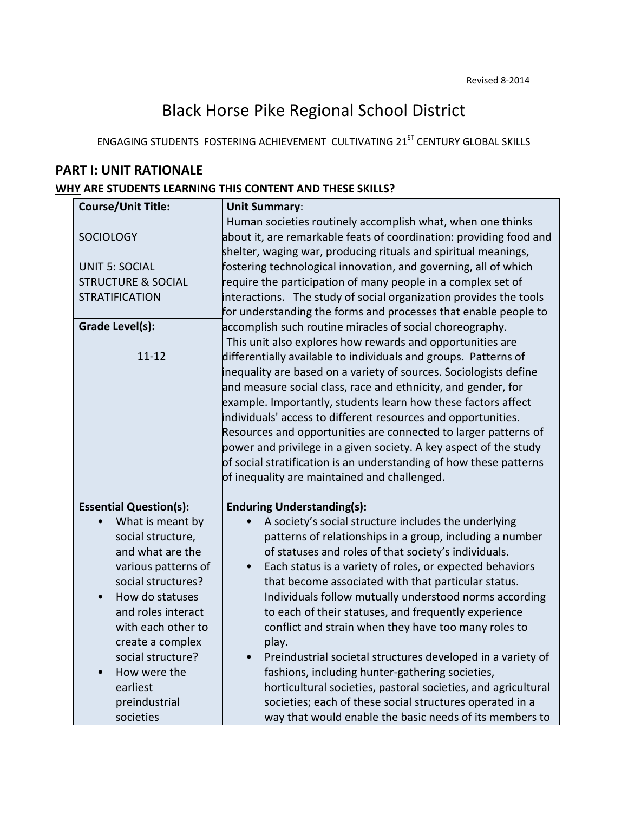# Black Horse Pike Regional School District

ENGAGING STUDENTS FOSTERING ACHIEVEMENT CULTIVATING 21<sup>ST</sup> CENTURY GLOBAL SKILLS

# **PART I: UNIT RATIONALE**

## **WHY ARE STUDENTS LEARNING THIS CONTENT AND THESE SKILLS?**

| <b>Course/Unit Title:</b>     | <b>Unit Summary:</b>                                                  |
|-------------------------------|-----------------------------------------------------------------------|
|                               | Human societies routinely accomplish what, when one thinks            |
| <b>SOCIOLOGY</b>              | about it, are remarkable feats of coordination: providing food and    |
|                               | shelter, waging war, producing rituals and spiritual meanings,        |
| <b>UNIT 5: SOCIAL</b>         | fostering technological innovation, and governing, all of which       |
| <b>STRUCTURE &amp; SOCIAL</b> | require the participation of many people in a complex set of          |
| <b>STRATIFICATION</b>         | interactions. The study of social organization provides the tools     |
|                               | for understanding the forms and processes that enable people to       |
| <b>Grade Level(s):</b>        | accomplish such routine miracles of social choreography.              |
|                               | This unit also explores how rewards and opportunities are             |
| $11 - 12$                     | differentially available to individuals and groups. Patterns of       |
|                               | inequality are based on a variety of sources. Sociologists define     |
|                               | and measure social class, race and ethnicity, and gender, for         |
|                               | example. Importantly, students learn how these factors affect         |
|                               | individuals' access to different resources and opportunities.         |
|                               | Resources and opportunities are connected to larger patterns of       |
|                               | power and privilege in a given society. A key aspect of the study     |
|                               | of social stratification is an understanding of how these patterns    |
|                               | of inequality are maintained and challenged.                          |
|                               |                                                                       |
| <b>Essential Question(s):</b> | <b>Enduring Understanding(s):</b>                                     |
| What is meant by              | A society's social structure includes the underlying                  |
| social structure,             | patterns of relationships in a group, including a number              |
| and what are the              | of statuses and roles of that society's individuals.                  |
| various patterns of           | Each status is a variety of roles, or expected behaviors<br>$\bullet$ |
| social structures?            | that become associated with that particular status.                   |
| How do statuses<br>$\bullet$  | Individuals follow mutually understood norms according                |
| and roles interact            | to each of their statuses, and frequently experience                  |
| with each other to            | conflict and strain when they have too many roles to                  |
| create a complex              | play.                                                                 |
| social structure?             | Preindustrial societal structures developed in a variety of           |
| How were the                  | fashions, including hunter-gathering societies,                       |
| earliest                      | horticultural societies, pastoral societies, and agricultural         |
| preindustrial                 | societies; each of these social structures operated in a              |
| societies                     | way that would enable the basic needs of its members to               |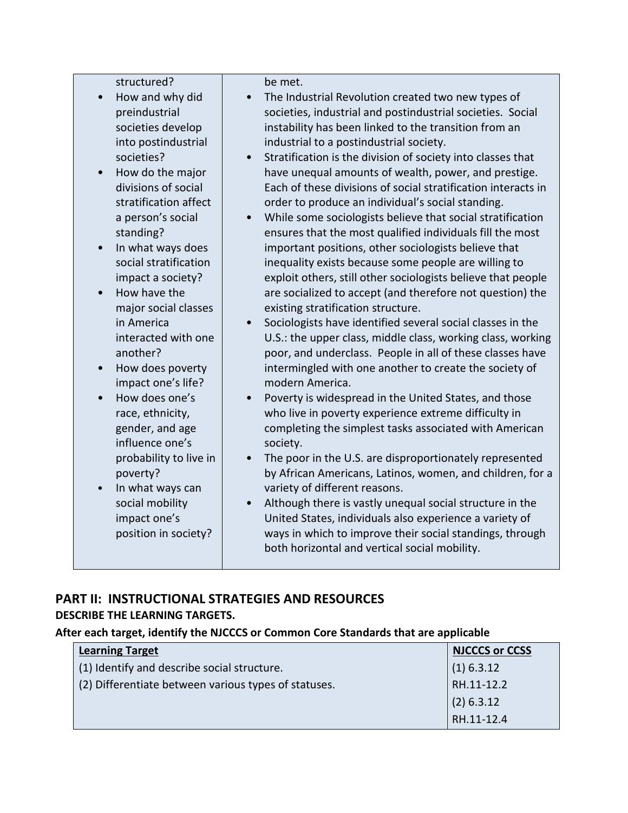structured?

- How and why did preindustrial societies develop into postindustrial societies?
- How do the major divisions of social stratification affect a person's social standing?
- In what ways does social stratification impact a society?
- How have the major social classes in America interacted with one another?
- How does poverty impact one's life?
- How does one's race, ethnicity, gender, and age influence one's probability to live in poverty?
- In what ways can social mobility impact one's position in society?

be met.

- The Industrial Revolution created two new types of societies, industrial and postindustrial societies. Social instability has been linked to the transition from an industrial to a postindustrial society.
- Stratification is the division of society into classes that have unequal amounts of wealth, power, and prestige. Each of these divisions of social stratification interacts in order to produce an individual's social standing.
- While some sociologists believe that social stratification ensures that the most qualified individuals fill the most important positions, other sociologists believe that inequality exists because some people are willing to exploit others, still other sociologists believe that people are socialized to accept (and therefore not question) the existing stratification structure.
- Sociologists have identified several social classes in the U.S.: the upper class, middle class, working class, working poor, and underclass. People in all of these classes have intermingled with one another to create the society of modern America.
- Poverty is widespread in the United States, and those who live in poverty experience extreme difficulty in completing the simplest tasks associated with American society.
- The poor in the U.S. are disproportionately represented by African Americans, Latinos, women, and children, for a variety of different reasons.
- Although there is vastly unequal social structure in the United States, individuals also experience a variety of ways in which to improve their social standings, through both horizontal and vertical social mobility.

# **PART II: INSTRUCTIONAL STRATEGIES AND RESOURCES DESCRIBE THE LEARNING TARGETS.**

## **After each target, identify the NJCCCS or Common Core Standards that are applicable**

| <b>Learning Target</b>                               | <b>NJCCCS or CCSS</b> |
|------------------------------------------------------|-----------------------|
| (1) Identify and describe social structure.          | $(1)$ 6.3.12          |
| (2) Differentiate between various types of statuses. | RH.11-12.2            |
|                                                      | $(2)$ 6.3.12          |
|                                                      | RH.11-12.4            |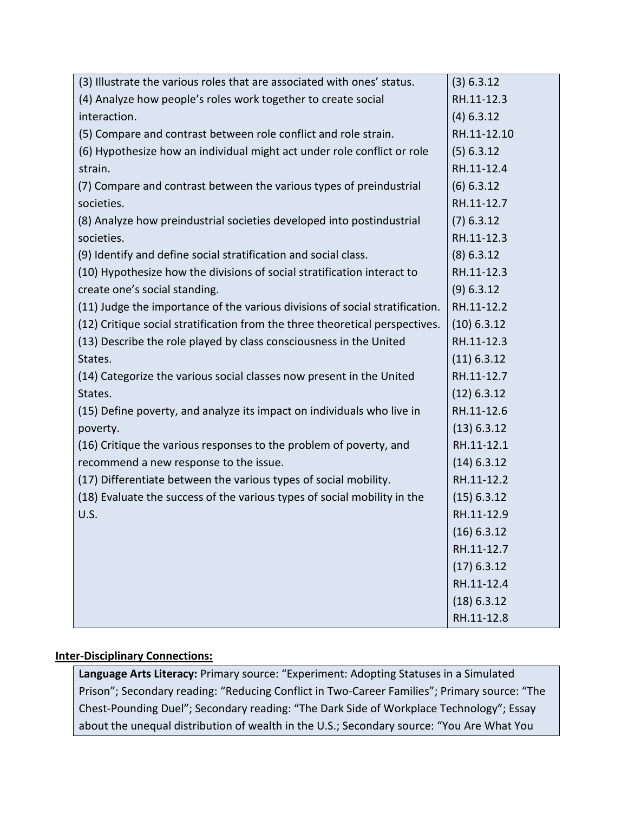| (3) Illustrate the various roles that are associated with ones' status.      | (3) 6.3.12    |
|------------------------------------------------------------------------------|---------------|
| (4) Analyze how people's roles work together to create social                | RH.11-12.3    |
| interaction.                                                                 | $(4)$ 6.3.12  |
| (5) Compare and contrast between role conflict and role strain.              | RH.11-12.10   |
| (6) Hypothesize how an individual might act under role conflict or role      | (5) 6.3.12    |
| strain.                                                                      | RH.11-12.4    |
| (7) Compare and contrast between the various types of preindustrial          | $(6)$ 6.3.12  |
| societies.                                                                   | RH.11-12.7    |
| (8) Analyze how preindustrial societies developed into postindustrial        | $(7)$ 6.3.12  |
| societies.                                                                   | RH.11-12.3    |
| (9) Identify and define social stratification and social class.              | $(8)$ 6.3.12  |
| (10) Hypothesize how the divisions of social stratification interact to      | RH.11-12.3    |
| create one's social standing.                                                | (9) 6.3.12    |
| (11) Judge the importance of the various divisions of social stratification. | RH.11-12.2    |
| (12) Critique social stratification from the three theoretical perspectives. | $(10)$ 6.3.12 |
| (13) Describe the role played by class consciousness in the United           | RH.11-12.3    |
| States.                                                                      | $(11)$ 6.3.12 |
| (14) Categorize the various social classes now present in the United         | RH.11-12.7    |
| States.                                                                      | $(12)$ 6.3.12 |
| (15) Define poverty, and analyze its impact on individuals who live in       | RH.11-12.6    |
| poverty.                                                                     | (13) 6.3.12   |
| (16) Critique the various responses to the problem of poverty, and           | RH.11-12.1    |
| recommend a new response to the issue.                                       | $(14)$ 6.3.12 |
| (17) Differentiate between the various types of social mobility.             | RH.11-12.2    |
| (18) Evaluate the success of the various types of social mobility in the     | $(15)$ 6.3.12 |
| U.S.                                                                         | RH.11-12.9    |
|                                                                              | $(16)$ 6.3.12 |
|                                                                              | RH.11-12.7    |
|                                                                              | $(17)$ 6.3.12 |
|                                                                              | RH.11-12.4    |
|                                                                              | (18) 6.3.12   |
|                                                                              | RH.11-12.8    |

## **Inter-Disciplinary Connections:**

**Language Arts Literacy:** Primary source: "Experiment: Adopting Statuses in a Simulated Prison"; Secondary reading: "Reducing Conflict in Two-Career Families"; Primary source: "The Chest-Pounding Duel"; Secondary reading: "The Dark Side of Workplace Technology"; Essay about the unequal distribution of wealth in the U.S.; Secondary source: "You Are What You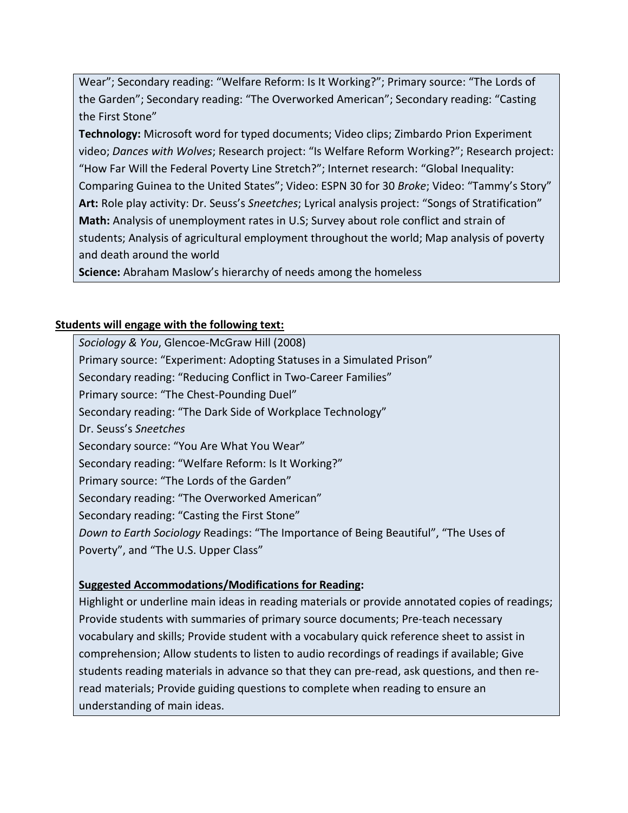Wear"; Secondary reading: "Welfare Reform: Is It Working?"; Primary source: "The Lords of the Garden"; Secondary reading: "The Overworked American"; Secondary reading: "Casting the First Stone"

**Technology:** Microsoft word for typed documents; Video clips; Zimbardo Prion Experiment video; *Dances with Wolves*; Research project: "Is Welfare Reform Working?"; Research project: "How Far Will the Federal Poverty Line Stretch?"; Internet research: "Global Inequality: Comparing Guinea to the United States"; Video: ESPN 30 for 30 *Broke*; Video: "Tammy's Story" **Art:** Role play activity: Dr. Seuss's *Sneetches*; Lyrical analysis project: "Songs of Stratification" **Math:** Analysis of unemployment rates in U.S; Survey about role conflict and strain of students; Analysis of agricultural employment throughout the world; Map analysis of poverty and death around the world

**Science:** Abraham Maslow's hierarchy of needs among the homeless

# **Students will engage with the following text:**

*Sociology & You*, Glencoe-McGraw Hill (2008) Primary source: "Experiment: Adopting Statuses in a Simulated Prison" Secondary reading: "Reducing Conflict in Two-Career Families" Primary source: "The Chest-Pounding Duel" Secondary reading: "The Dark Side of Workplace Technology" Dr. Seuss's *Sneetches* Secondary source: "You Are What You Wear" Secondary reading: "Welfare Reform: Is It Working?" Primary source: "The Lords of the Garden" Secondary reading: "The Overworked American" Secondary reading: "Casting the First Stone" *Down to Earth Sociology* Readings: "The Importance of Being Beautiful", "The Uses of Poverty", and "The U.S. Upper Class"

## **Suggested Accommodations/Modifications for Reading:**

Highlight or underline main ideas in reading materials or provide annotated copies of readings; Provide students with summaries of primary source documents; Pre-teach necessary vocabulary and skills; Provide student with a vocabulary quick reference sheet to assist in comprehension; Allow students to listen to audio recordings of readings if available; Give students reading materials in advance so that they can pre-read, ask questions, and then reread materials; Provide guiding questions to complete when reading to ensure an understanding of main ideas.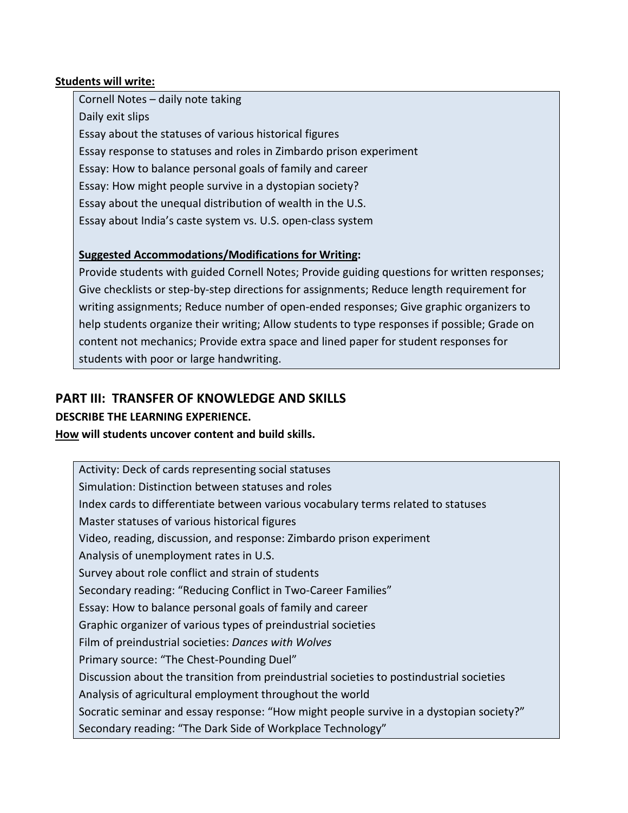## **Students will write:**

Cornell Notes – daily note taking Daily exit slips Essay about the statuses of various historical figures Essay response to statuses and roles in Zimbardo prison experiment Essay: How to balance personal goals of family and career Essay: How might people survive in a dystopian society? Essay about the unequal distribution of wealth in the U.S. Essay about India's caste system vs. U.S. open-class system

# **Suggested Accommodations/Modifications for Writing:**

Provide students with guided Cornell Notes; Provide guiding questions for written responses; Give checklists or step-by-step directions for assignments; Reduce length requirement for writing assignments; Reduce number of open-ended responses; Give graphic organizers to help students organize their writing; Allow students to type responses if possible; Grade on content not mechanics; Provide extra space and lined paper for student responses for students with poor or large handwriting.

# **PART III: TRANSFER OF KNOWLEDGE AND SKILLS**

## **DESCRIBE THE LEARNING EXPERIENCE.**

## **How will students uncover content and build skills.**

Activity: Deck of cards representing social statuses Simulation: Distinction between statuses and roles Index cards to differentiate between various vocabulary terms related to statuses Master statuses of various historical figures Video, reading, discussion, and response: Zimbardo prison experiment Analysis of unemployment rates in U.S. Survey about role conflict and strain of students Secondary reading: "Reducing Conflict in Two-Career Families" Essay: How to balance personal goals of family and career Graphic organizer of various types of preindustrial societies Film of preindustrial societies: *Dances with Wolves* Primary source: "The Chest-Pounding Duel" Discussion about the transition from preindustrial societies to postindustrial societies Analysis of agricultural employment throughout the world Socratic seminar and essay response: "How might people survive in a dystopian society?" Secondary reading: "The Dark Side of Workplace Technology"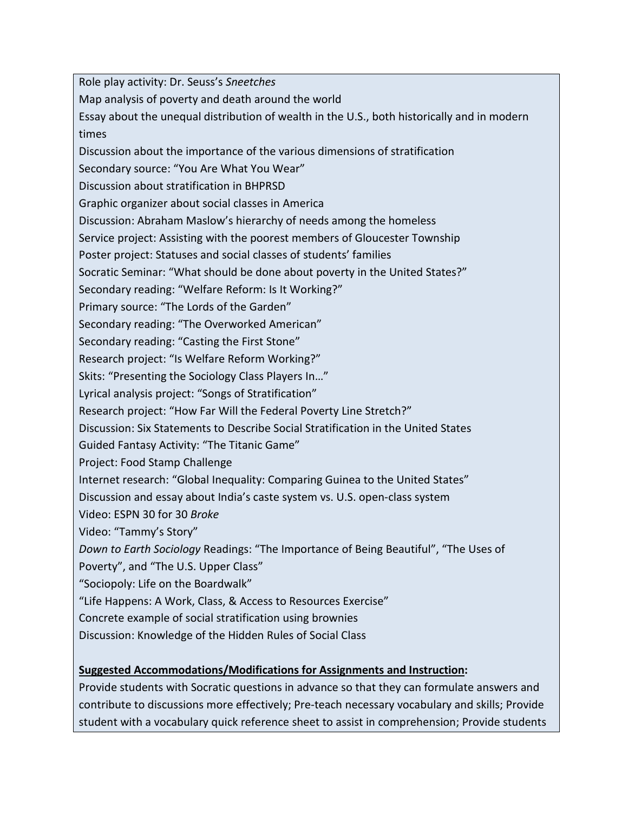Role play activity: Dr. Seuss's *Sneetches*

Map analysis of poverty and death around the world

Essay about the unequal distribution of wealth in the U.S., both historically and in modern times

Discussion about the importance of the various dimensions of stratification

Secondary source: "You Are What You Wear"

Discussion about stratification in BHPRSD

Graphic organizer about social classes in America

Discussion: Abraham Maslow's hierarchy of needs among the homeless

Service project: Assisting with the poorest members of Gloucester Township

Poster project: Statuses and social classes of students' families

Socratic Seminar: "What should be done about poverty in the United States?"

Secondary reading: "Welfare Reform: Is It Working?"

Primary source: "The Lords of the Garden"

Secondary reading: "The Overworked American"

Secondary reading: "Casting the First Stone"

Research project: "Is Welfare Reform Working?"

Skits: "Presenting the Sociology Class Players In…"

Lyrical analysis project: "Songs of Stratification"

Research project: "How Far Will the Federal Poverty Line Stretch?"

Discussion: Six Statements to Describe Social Stratification in the United States

Guided Fantasy Activity: "The Titanic Game"

Project: Food Stamp Challenge

Internet research: "Global Inequality: Comparing Guinea to the United States"

Discussion and essay about India's caste system vs. U.S. open-class system

Video: ESPN 30 for 30 *Broke*

Video: "Tammy's Story"

*Down to Earth Sociology* Readings: "The Importance of Being Beautiful", "The Uses of

Poverty", and "The U.S. Upper Class"

"Sociopoly: Life on the Boardwalk"

"Life Happens: A Work, Class, & Access to Resources Exercise"

Concrete example of social stratification using brownies

Discussion: Knowledge of the Hidden Rules of Social Class

## **Suggested Accommodations/Modifications for Assignments and Instruction:**

Provide students with Socratic questions in advance so that they can formulate answers and contribute to discussions more effectively; Pre-teach necessary vocabulary and skills; Provide student with a vocabulary quick reference sheet to assist in comprehension; Provide students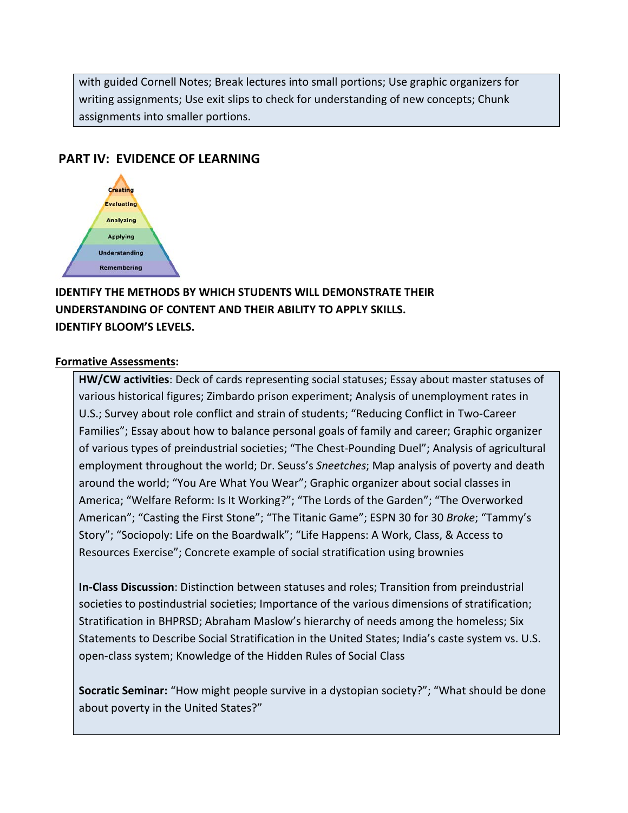with guided Cornell Notes; Break lectures into small portions; Use graphic organizers for writing assignments; Use exit slips to check for understanding of new concepts; Chunk assignments into smaller portions.

# **PART IV: EVIDENCE OF LEARNING**



# **IDENTIFY THE METHODS BY WHICH STUDENTS WILL DEMONSTRATE THEIR UNDERSTANDING OF CONTENT AND THEIR ABILITY TO APPLY SKILLS. IDENTIFY BLOOM'S LEVELS.**

#### **Formative Assessments:**

**HW/CW activities**: Deck of cards representing social statuses; Essay about master statuses of various historical figures; Zimbardo prison experiment; Analysis of unemployment rates in U.S.; Survey about role conflict and strain of students; "Reducing Conflict in Two-Career Families"; Essay about how to balance personal goals of family and career; Graphic organizer of various types of preindustrial societies; "The Chest-Pounding Duel"; Analysis of agricultural employment throughout the world; Dr. Seuss's *Sneetches*; Map analysis of poverty and death around the world; "You Are What You Wear"; Graphic organizer about social classes in America; "Welfare Reform: Is It Working?"; "The Lords of the Garden"; "The Overworked American"; "Casting the First Stone"; "The Titanic Game"; ESPN 30 for 30 *Broke*; "Tammy's Story"; "Sociopoly: Life on the Boardwalk"; "Life Happens: A Work, Class, & Access to Resources Exercise"; Concrete example of social stratification using brownies

**In-Class Discussion**: Distinction between statuses and roles; Transition from preindustrial societies to postindustrial societies; Importance of the various dimensions of stratification; Stratification in BHPRSD; Abraham Maslow's hierarchy of needs among the homeless; Six Statements to Describe Social Stratification in the United States; India's caste system vs. U.S. open-class system; Knowledge of the Hidden Rules of Social Class

**Socratic Seminar:** "How might people survive in a dystopian society?"; "What should be done about poverty in the United States?"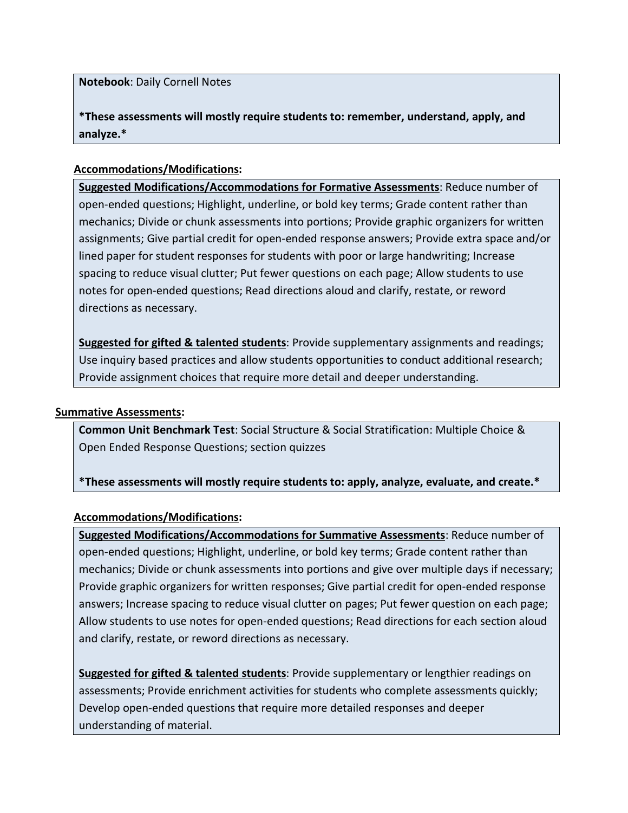**Notebook**: Daily Cornell Notes

**\*These assessments will mostly require students to: remember, understand, apply, and analyze.\***

## **Accommodations/Modifications:**

**Suggested Modifications/Accommodations for Formative Assessments**: Reduce number of open-ended questions; Highlight, underline, or bold key terms; Grade content rather than mechanics; Divide or chunk assessments into portions; Provide graphic organizers for written assignments; Give partial credit for open-ended response answers; Provide extra space and/or lined paper for student responses for students with poor or large handwriting; Increase spacing to reduce visual clutter; Put fewer questions on each page; Allow students to use notes for open-ended questions; Read directions aloud and clarify, restate, or reword directions as necessary.

**Suggested for gifted & talented students**: Provide supplementary assignments and readings; Use inquiry based practices and allow students opportunities to conduct additional research; Provide assignment choices that require more detail and deeper understanding.

### **Summative Assessments:**

**Common Unit Benchmark Test**: Social Structure & Social Stratification: Multiple Choice & Open Ended Response Questions; section quizzes

**\*These assessments will mostly require students to: apply, analyze, evaluate, and create.\***

### **Accommodations/Modifications:**

**Suggested Modifications/Accommodations for Summative Assessments**: Reduce number of open-ended questions; Highlight, underline, or bold key terms; Grade content rather than mechanics; Divide or chunk assessments into portions and give over multiple days if necessary; Provide graphic organizers for written responses; Give partial credit for open-ended response answers; Increase spacing to reduce visual clutter on pages; Put fewer question on each page; Allow students to use notes for open-ended questions; Read directions for each section aloud and clarify, restate, or reword directions as necessary.

**Suggested for gifted & talented students**: Provide supplementary or lengthier readings on assessments; Provide enrichment activities for students who complete assessments quickly; Develop open-ended questions that require more detailed responses and deeper understanding of material.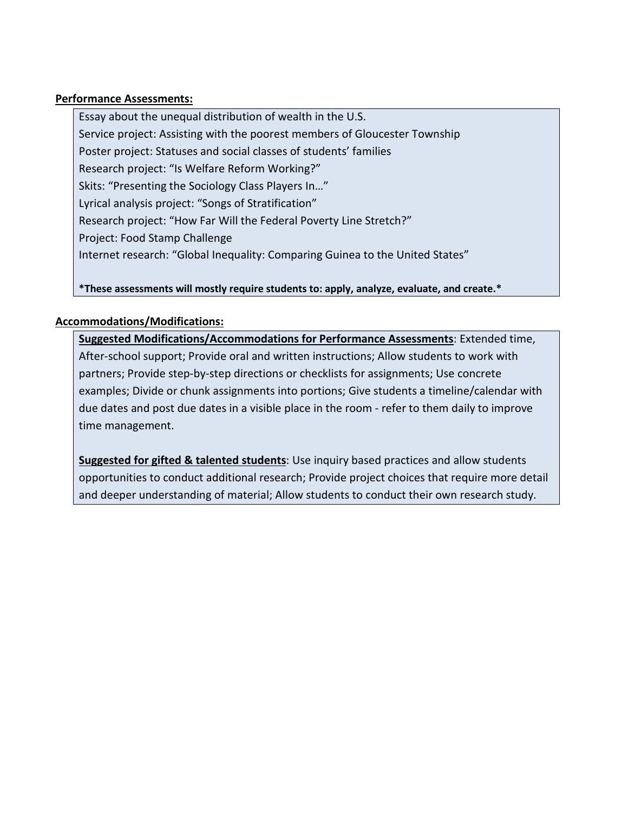### **Performance Assessments:**

Essay about the unequal distribution of wealth in the U.S. Service project: Assisting with the poorest members of Gloucester Township Poster project: Statuses and social classes of students' families Research project: "Is Welfare Reform Working?" Skits: "Presenting the Sociology Class Players In…" Lyrical analysis project: "Songs of Stratification" Research project: "How Far Will the Federal Poverty Line Stretch?" Project: Food Stamp Challenge Internet research: "Global Inequality: Comparing Guinea to the United States"

**\*These assessments will mostly require students to: apply, analyze, evaluate, and create.\*** 

### **Accommodations/Modifications:**

**Suggested Modifications/Accommodations for Performance Assessments**: Extended time, After-school support; Provide oral and written instructions; Allow students to work with partners; Provide step-by-step directions or checklists for assignments; Use concrete examples; Divide or chunk assignments into portions; Give students a timeline/calendar with due dates and post due dates in a visible place in the room - refer to them daily to improve time management.

**Suggested for gifted & talented students**: Use inquiry based practices and allow students opportunities to conduct additional research; Provide project choices that require more detail and deeper understanding of material; Allow students to conduct their own research study.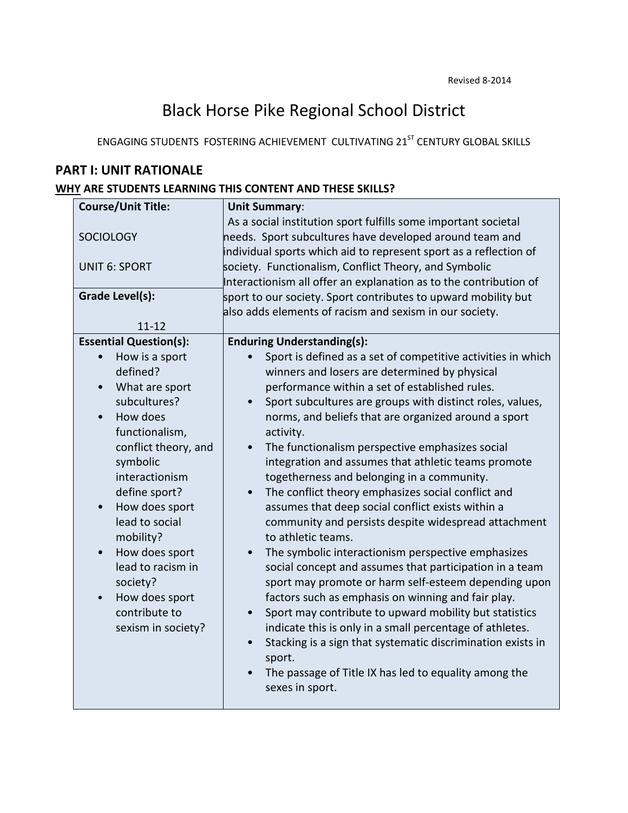# Black Horse Pike Regional School District

ENGAGING STUDENTS FOSTERING ACHIEVEMENT CULTIVATING 21<sup>ST</sup> CENTURY GLOBAL SKILLS

# **PART I: UNIT RATIONALE**

## **WHY ARE STUDENTS LEARNING THIS CONTENT AND THESE SKILLS?**

| <b>Course/Unit Title:</b>     | <b>Unit Summary:</b>                                                                                                                                                                           |
|-------------------------------|------------------------------------------------------------------------------------------------------------------------------------------------------------------------------------------------|
| <b>SOCIOLOGY</b>              | As a social institution sport fulfills some important societal<br>needs. Sport subcultures have developed around team and<br>individual sports which aid to represent sport as a reflection of |
| <b>UNIT 6: SPORT</b>          | society. Functionalism, Conflict Theory, and Symbolic<br>Interactionism all offer an explanation as to the contribution of                                                                     |
| <b>Grade Level(s):</b>        | sport to our society. Sport contributes to upward mobility but<br>also adds elements of racism and sexism in our society.                                                                      |
| $11 - 12$                     |                                                                                                                                                                                                |
| <b>Essential Question(s):</b> | <b>Enduring Understanding(s):</b>                                                                                                                                                              |
| How is a sport                | Sport is defined as a set of competitive activities in which                                                                                                                                   |
| defined?                      | winners and losers are determined by physical                                                                                                                                                  |
| What are sport<br>$\bullet$   | performance within a set of established rules.                                                                                                                                                 |
| subcultures?                  | Sport subcultures are groups with distinct roles, values,<br>$\bullet$                                                                                                                         |
| How does<br>$\bullet$         | norms, and beliefs that are organized around a sport                                                                                                                                           |
| functionalism,                | activity.                                                                                                                                                                                      |
| conflict theory, and          | The functionalism perspective emphasizes social<br>$\bullet$                                                                                                                                   |
| symbolic                      | integration and assumes that athletic teams promote                                                                                                                                            |
| interactionism                | togetherness and belonging in a community.                                                                                                                                                     |
| define sport?                 | The conflict theory emphasizes social conflict and                                                                                                                                             |
| How does sport<br>$\bullet$   | assumes that deep social conflict exists within a                                                                                                                                              |
| lead to social<br>mobility?   | community and persists despite widespread attachment<br>to athletic teams.                                                                                                                     |
| How does sport<br>$\bullet$   | The symbolic interactionism perspective emphasizes                                                                                                                                             |
| lead to racism in             | social concept and assumes that participation in a team                                                                                                                                        |
| society?                      | sport may promote or harm self-esteem depending upon                                                                                                                                           |
| How does sport<br>$\bullet$   | factors such as emphasis on winning and fair play.                                                                                                                                             |
| contribute to                 | Sport may contribute to upward mobility but statistics<br>$\bullet$                                                                                                                            |
| sexism in society?            | indicate this is only in a small percentage of athletes.                                                                                                                                       |
|                               | Stacking is a sign that systematic discrimination exists in<br>$\bullet$<br>sport.                                                                                                             |
|                               | The passage of Title IX has led to equality among the<br>$\bullet$                                                                                                                             |
|                               | sexes in sport.                                                                                                                                                                                |
|                               |                                                                                                                                                                                                |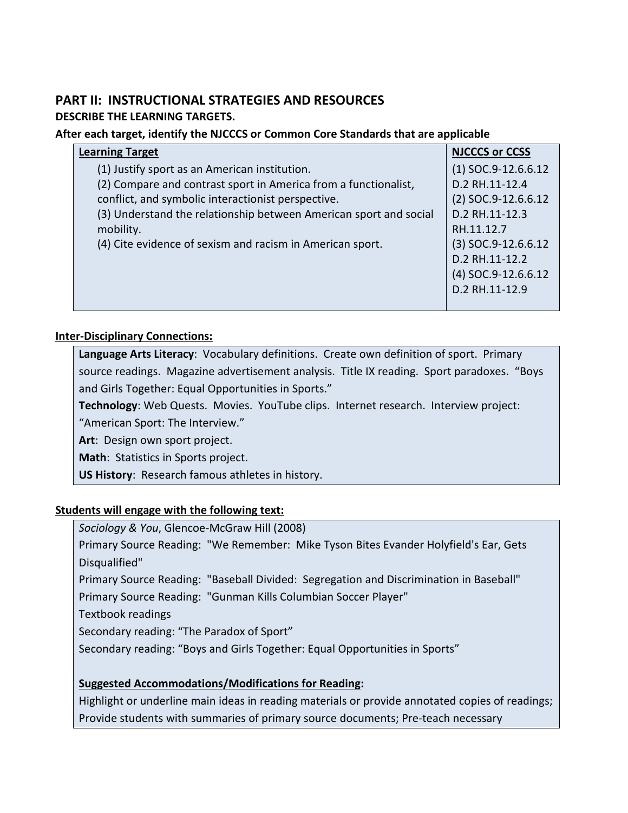# **PART II: INSTRUCTIONAL STRATEGIES AND RESOURCES**

## **DESCRIBE THE LEARNING TARGETS.**

## **After each target, identify the NJCCCS or Common Core Standards that are applicable**

| <b>Learning Target</b>                                            | <b>NJCCCS or CCSS</b> |
|-------------------------------------------------------------------|-----------------------|
| (1) Justify sport as an American institution.                     | $(1)$ SOC.9-12.6.6.12 |
| (2) Compare and contrast sport in America from a functionalist,   | D.2 RH.11-12.4        |
| conflict, and symbolic interactionist perspective.                | $(2)$ SOC.9-12.6.6.12 |
| (3) Understand the relationship between American sport and social | D.2 RH.11-12.3        |
| mobility.                                                         | RH.11.12.7            |
| (4) Cite evidence of sexism and racism in American sport.         | $(3)$ SOC.9-12.6.6.12 |
|                                                                   | D.2 RH.11-12.2        |
|                                                                   | $(4)$ SOC.9-12.6.6.12 |
|                                                                   | D.2 RH.11-12.9        |
|                                                                   |                       |

### **Inter-Disciplinary Connections:**

**Language Arts Literacy**: Vocabulary definitions. Create own definition of sport. Primary source readings. Magazine advertisement analysis. Title IX reading. Sport paradoxes. "Boys and Girls Together: Equal Opportunities in Sports."

**Technology**: Web Quests. Movies. YouTube clips. Internet research. Interview project:

"American Sport: The Interview."

**Art**: Design own sport project.

**Math**: Statistics in Sports project.

**US History**: Research famous athletes in history.

## **Students will engage with the following text:**

*Sociology & You*, Glencoe-McGraw Hill (2008)

Primary Source Reading: "We Remember: Mike Tyson Bites Evander Holyfield's Ear, Gets Disqualified"

Primary Source Reading: "Baseball Divided: Segregation and Discrimination in Baseball" Primary Source Reading: "Gunman Kills Columbian Soccer Player"

Textbook readings

Secondary reading: "The Paradox of Sport"

Secondary reading: "Boys and Girls Together: Equal Opportunities in Sports"

# **Suggested Accommodations/Modifications for Reading:**

Highlight or underline main ideas in reading materials or provide annotated copies of readings; Provide students with summaries of primary source documents; Pre-teach necessary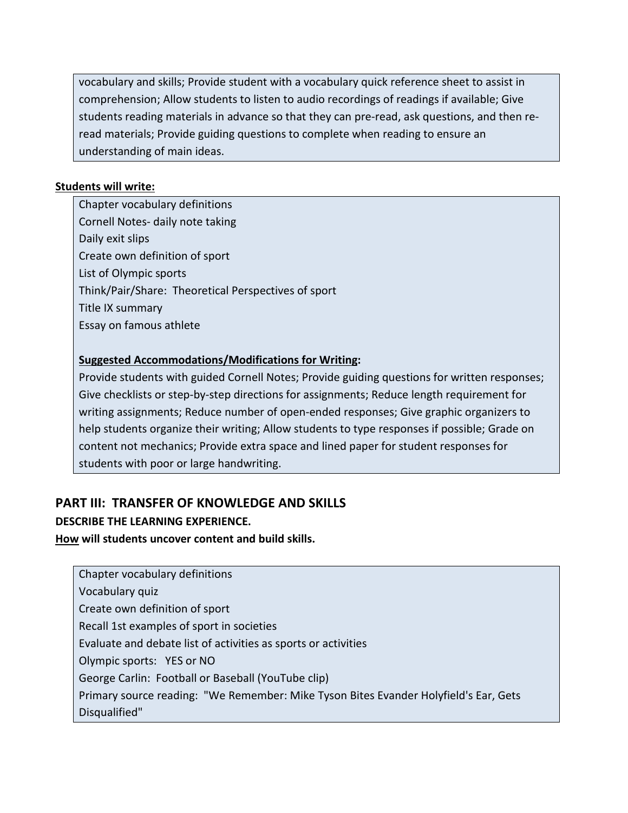vocabulary and skills; Provide student with a vocabulary quick reference sheet to assist in comprehension; Allow students to listen to audio recordings of readings if available; Give students reading materials in advance so that they can pre-read, ask questions, and then reread materials; Provide guiding questions to complete when reading to ensure an understanding of main ideas.

## **Students will write:**

Chapter vocabulary definitions Cornell Notes- daily note taking Daily exit slips Create own definition of sport List of Olympic sports Think/Pair/Share: Theoretical Perspectives of sport Title IX summary Essay on famous athlete

## **Suggested Accommodations/Modifications for Writing:**

Provide students with guided Cornell Notes; Provide guiding questions for written responses; Give checklists or step-by-step directions for assignments; Reduce length requirement for writing assignments; Reduce number of open-ended responses; Give graphic organizers to help students organize their writing; Allow students to type responses if possible; Grade on content not mechanics; Provide extra space and lined paper for student responses for students with poor or large handwriting.

# **PART III: TRANSFER OF KNOWLEDGE AND SKILLS**

## **DESCRIBE THE LEARNING EXPERIENCE.**

**How will students uncover content and build skills.** 

| Chapter vocabulary definitions                                                       |
|--------------------------------------------------------------------------------------|
| Vocabulary quiz                                                                      |
| Create own definition of sport                                                       |
| Recall 1st examples of sport in societies                                            |
| Evaluate and debate list of activities as sports or activities                       |
| Olympic sports: YES or NO                                                            |
| George Carlin: Football or Baseball (YouTube clip)                                   |
| Primary source reading: "We Remember: Mike Tyson Bites Evander Holyfield's Ear, Gets |
| Disqualified"                                                                        |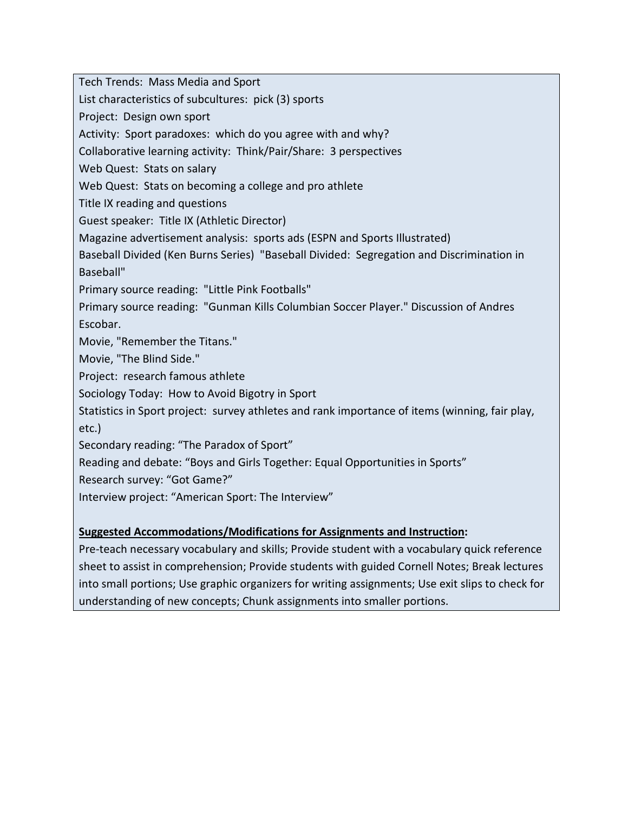Tech Trends: Mass Media and Sport

List characteristics of subcultures: pick (3) sports

Project: Design own sport

Activity: Sport paradoxes: which do you agree with and why?

Collaborative learning activity: Think/Pair/Share: 3 perspectives

Web Quest: Stats on salary

Web Quest: Stats on becoming a college and pro athlete

Title IX reading and questions

Guest speaker: Title IX (Athletic Director)

Magazine advertisement analysis: sports ads (ESPN and Sports Illustrated)

Baseball Divided (Ken Burns Series) "Baseball Divided: Segregation and Discrimination in Baseball"

Primary source reading: "Little Pink Footballs"

Primary source reading: "Gunman Kills Columbian Soccer Player." Discussion of Andres Escobar.

Movie, "Remember the Titans."

Movie, "The Blind Side."

Project: research famous athlete

Sociology Today: How to Avoid Bigotry in Sport

Statistics in Sport project: survey athletes and rank importance of items (winning, fair play, etc.)

Secondary reading: "The Paradox of Sport"

Reading and debate: "Boys and Girls Together: Equal Opportunities in Sports"

Research survey: "Got Game?"

Interview project: "American Sport: The Interview"

## **Suggested Accommodations/Modifications for Assignments and Instruction:**

Pre-teach necessary vocabulary and skills; Provide student with a vocabulary quick reference sheet to assist in comprehension; Provide students with guided Cornell Notes; Break lectures into small portions; Use graphic organizers for writing assignments; Use exit slips to check for understanding of new concepts; Chunk assignments into smaller portions.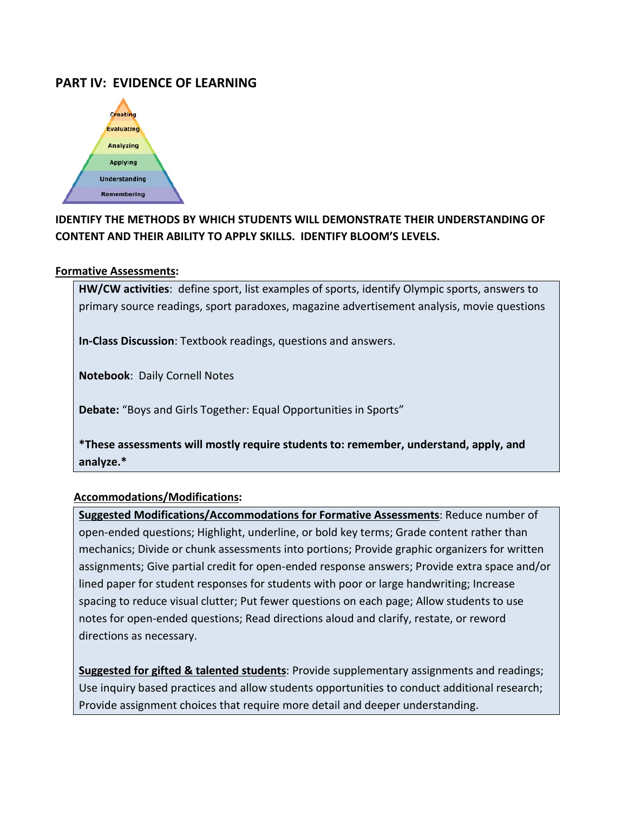# **PART IV: EVIDENCE OF LEARNING**



# **IDENTIFY THE METHODS BY WHICH STUDENTS WILL DEMONSTRATE THEIR UNDERSTANDING OF CONTENT AND THEIR ABILITY TO APPLY SKILLS. IDENTIFY BLOOM'S LEVELS.**

#### **Formative Assessments:**

**HW/CW activities**: define sport, list examples of sports, identify Olympic sports, answers to primary source readings, sport paradoxes, magazine advertisement analysis, movie questions

**In-Class Discussion**: Textbook readings, questions and answers.

**Notebook**: Daily Cornell Notes

**Debate:** "Boys and Girls Together: Equal Opportunities in Sports"

**\*These assessments will mostly require students to: remember, understand, apply, and analyze.\***

### **Accommodations/Modifications:**

**Suggested Modifications/Accommodations for Formative Assessments**: Reduce number of open-ended questions; Highlight, underline, or bold key terms; Grade content rather than mechanics; Divide or chunk assessments into portions; Provide graphic organizers for written assignments; Give partial credit for open-ended response answers; Provide extra space and/or lined paper for student responses for students with poor or large handwriting; Increase spacing to reduce visual clutter; Put fewer questions on each page; Allow students to use notes for open-ended questions; Read directions aloud and clarify, restate, or reword directions as necessary.

**Suggested for gifted & talented students**: Provide supplementary assignments and readings; Use inquiry based practices and allow students opportunities to conduct additional research; Provide assignment choices that require more detail and deeper understanding.